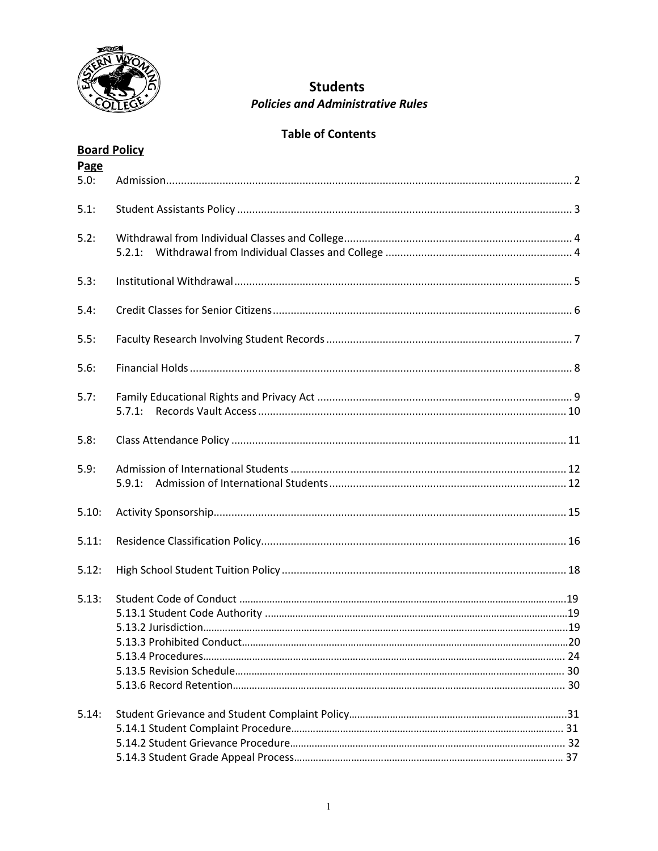

# **Students Policies and Administrative Rules**

# **Table of Contents**

# **Board Policy**

| Page<br>5.0: |        |  |
|--------------|--------|--|
| 5.1:         |        |  |
| 5.2:         |        |  |
| 5.3:         |        |  |
| 5.4:         |        |  |
| 5.5:         |        |  |
| 5.6:         |        |  |
| 5.7:         | 5.7.1: |  |
| 5.8:         |        |  |
| 5.9:         |        |  |
| 5.10:        |        |  |
| 5.11:        |        |  |
| 5.12:        |        |  |
| 5.13:        |        |  |
| 5.14:        |        |  |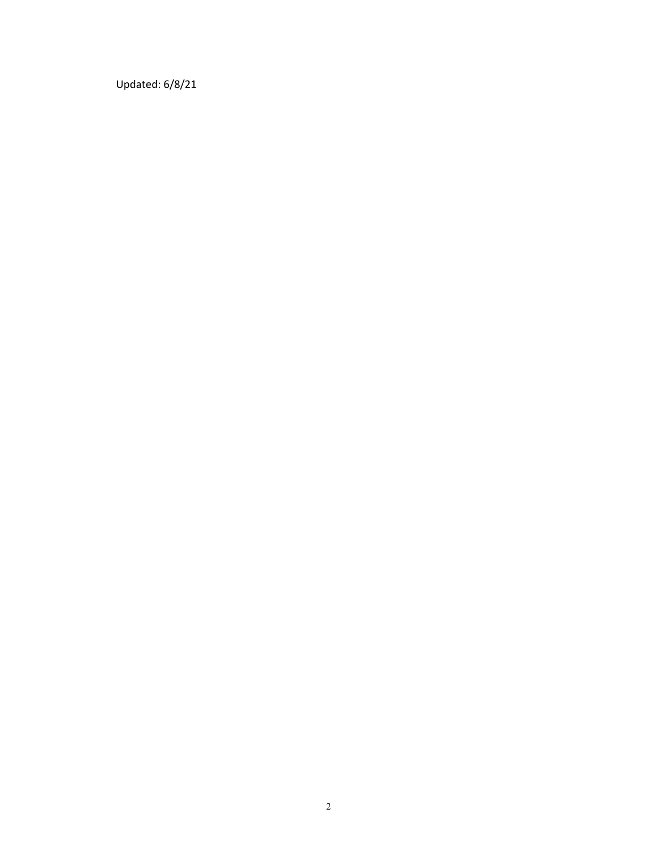Updated: 6/8/21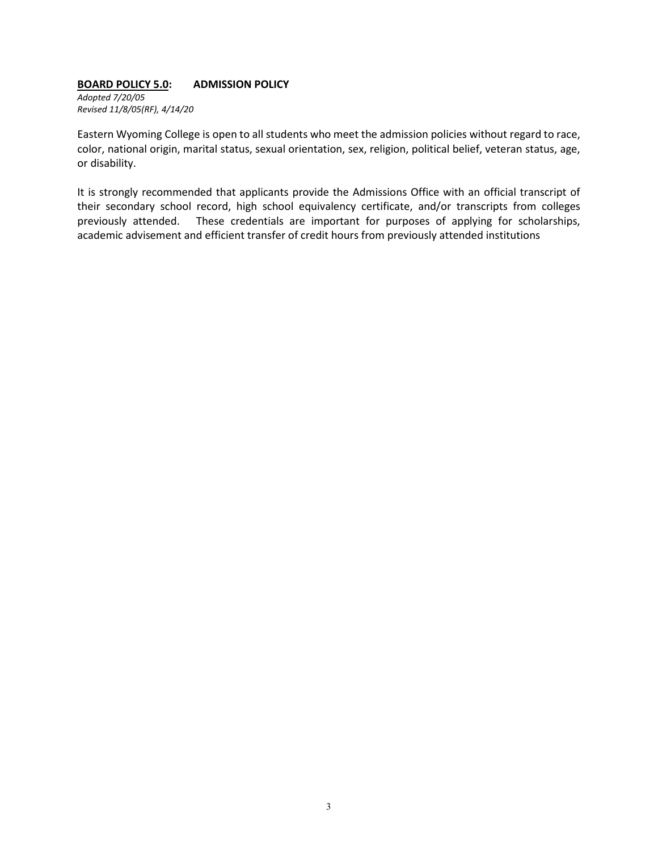## **BOARD POLICY 5.0: ADMISSION POLICY**

*Adopted 7/20/05 Revised 11/8/05(RF), 4/14/20*

Eastern Wyoming College is open to all students who meet the admission policies without regard to race, color, national origin, marital status, sexual orientation, sex, religion, political belief, veteran status, age, or disability.

It is strongly recommended that applicants provide the Admissions Office with an official transcript of their secondary school record, high school equivalency certificate, and/or transcripts from colleges previously attended. These credentials are important for purposes of applying for scholarships, academic advisement and efficient transfer of credit hours from previously attended institutions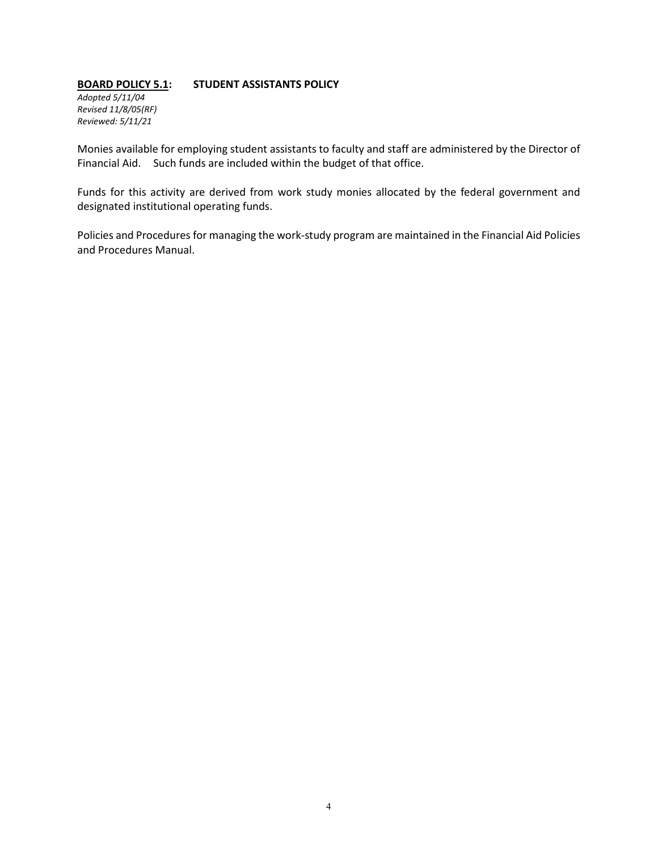# **BOARD POLICY 5.1: STUDENT ASSISTANTS POLICY**

*Adopted 5/11/04 Revised 11/8/05(RF) Reviewed: 5/11/21*

Monies available for employing student assistants to faculty and staff are administered by the Director of Financial Aid. Such funds are included within the budget of that office.

Funds for this activity are derived from work study monies allocated by the federal government and designated institutional operating funds.

Policies and Procedures for managing the work-study program are maintained in the Financial Aid Policies and Procedures Manual.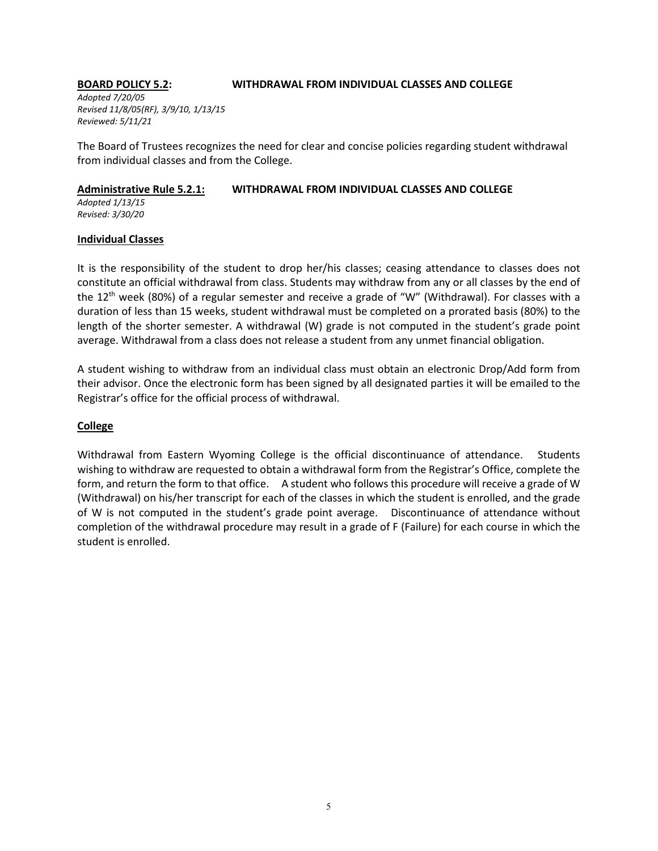#### **BOARD POLICY 5.2: WITHDRAWAL FROM INDIVIDUAL CLASSES AND COLLEGE**

*Adopted 7/20/05 Revised 11/8/05(RF), 3/9/10, 1/13/15 Reviewed: 5/11/21*

The Board of Trustees recognizes the need for clear and concise policies regarding student withdrawal from individual classes and from the College.

#### **Administrative Rule 5.2.1: WITHDRAWAL FROM INDIVIDUAL CLASSES AND COLLEGE**

*Adopted 1/13/15 Revised: 3/30/20*

# **Individual Classes**

It is the responsibility of the student to drop her/his classes; ceasing attendance to classes does not constitute an official withdrawal from class. Students may withdraw from any or all classes by the end of the 12<sup>th</sup> week (80%) of a regular semester and receive a grade of "W" (Withdrawal). For classes with a duration of less than 15 weeks, student withdrawal must be completed on a prorated basis (80%) to the length of the shorter semester. A withdrawal (W) grade is not computed in the student's grade point average. Withdrawal from a class does not release a student from any unmet financial obligation.

A student wishing to withdraw from an individual class must obtain an electronic Drop/Add form from their advisor. Once the electronic form has been signed by all designated parties it will be emailed to the Registrar's office for the official process of withdrawal.

# **College**

Withdrawal from Eastern Wyoming College is the official discontinuance of attendance. Students wishing to withdraw are requested to obtain a withdrawal form from the Registrar's Office, complete the form, and return the form to that office. A student who follows this procedure will receive a grade of W (Withdrawal) on his/her transcript for each of the classes in which the student is enrolled, and the grade of W is not computed in the student's grade point average. Discontinuance of attendance without completion of the withdrawal procedure may result in a grade of F (Failure) for each course in which the student is enrolled.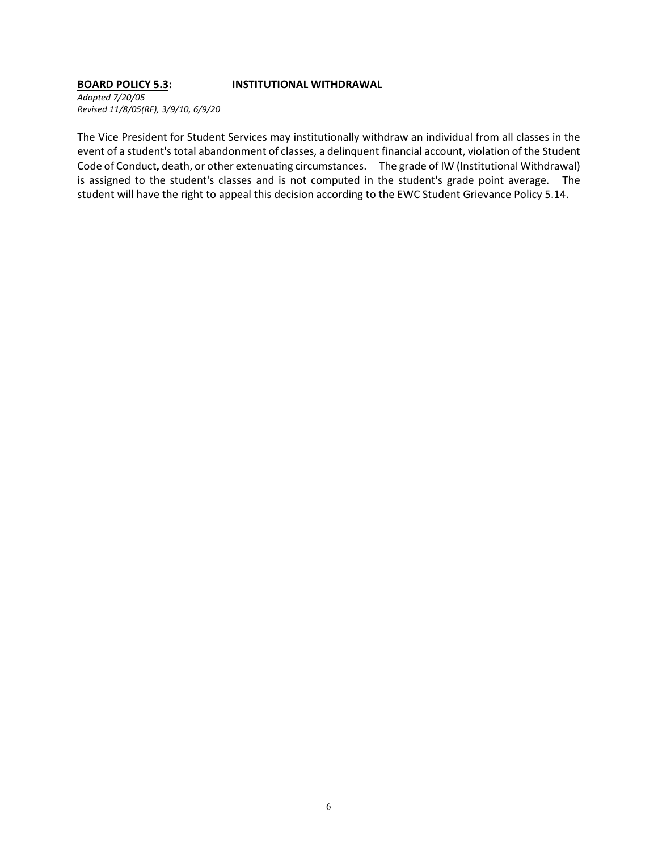#### **BOARD POLICY 5.3: INSTITUTIONAL WITHDRAWAL**

*Adopted 7/20/05 Revised 11/8/05(RF), 3/9/10, 6/9/20*

The Vice President for Student Services may institutionally withdraw an individual from all classes in the event of a student's total abandonment of classes, a delinquent financial account, violation of the Student Code of Conduct**,** death, or other extenuating circumstances. The grade of IW (Institutional Withdrawal) is assigned to the student's classes and is not computed in the student's grade point average. The student will have the right to appeal this decision according to the EWC Student Grievance Policy 5.14.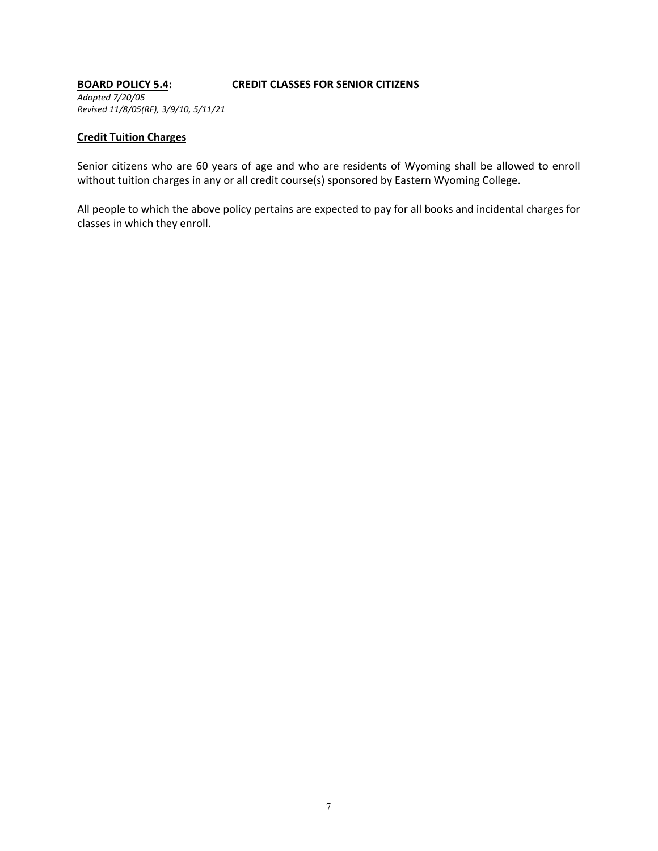#### **BOARD POLICY 5.4: CREDIT CLASSES FOR SENIOR CITIZENS** *Adopted 7/20/05 Revised 11/8/05(RF), 3/9/10, 5/11/21*

### **Credit Tuition Charges**

Senior citizens who are 60 years of age and who are residents of Wyoming shall be allowed to enroll without tuition charges in any or all credit course(s) sponsored by Eastern Wyoming College.

All people to which the above policy pertains are expected to pay for all books and incidental charges for classes in which they enroll.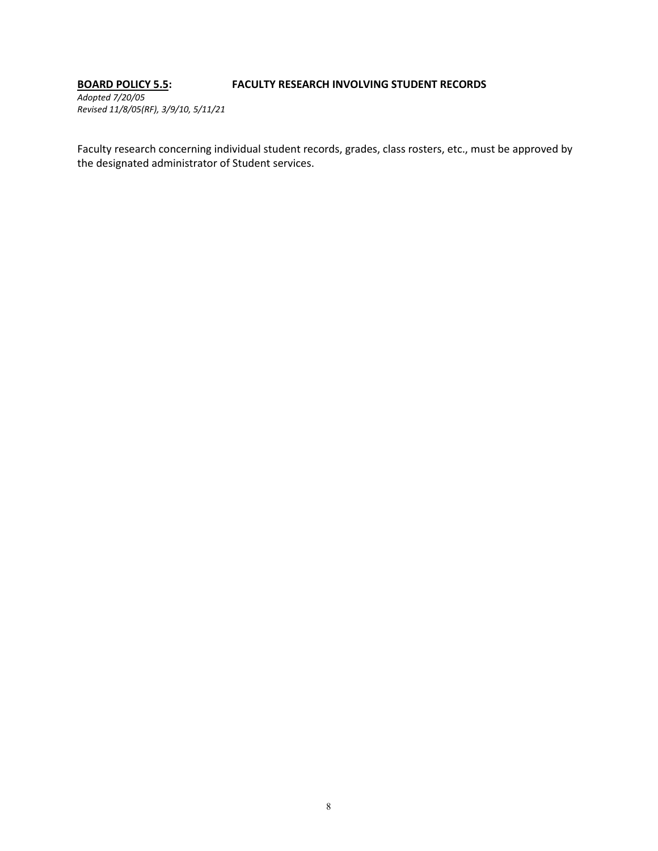# **BOARD POLICY 5.5: FACULTY RESEARCH INVOLVING STUDENT RECORDS**

*Adopted 7/20/05 Revised 11/8/05(RF), 3/9/10, 5/11/21*

Faculty research concerning individual student records, grades, class rosters, etc., must be approved by the designated administrator of Student services.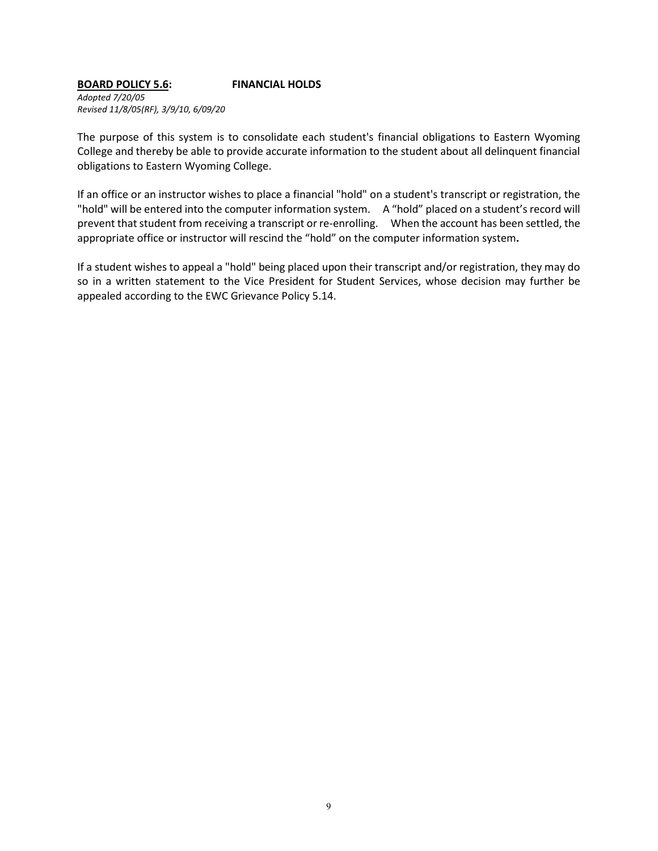# **BOARD POLICY 5.6: FINANCIAL HOLDS**

*Adopted 7/20/05 Revised 11/8/05(RF), 3/9/10, 6/09/20*

The purpose of this system is to consolidate each student's financial obligations to Eastern Wyoming College and thereby be able to provide accurate information to the student about all delinquent financial obligations to Eastern Wyoming College.

If an office or an instructor wishes to place a financial "hold" on a student's transcript or registration, the "hold" will be entered into the computer information system. A "hold" placed on a student's record will prevent that student from receiving a transcript or re-enrolling. When the account has been settled, the appropriate office or instructor will rescind the "hold" on the computer information system**.**

If a student wishes to appeal a "hold" being placed upon their transcript and/or registration, they may do so in a written statement to the Vice President for Student Services, whose decision may further be appealed according to the EWC Grievance Policy 5.14.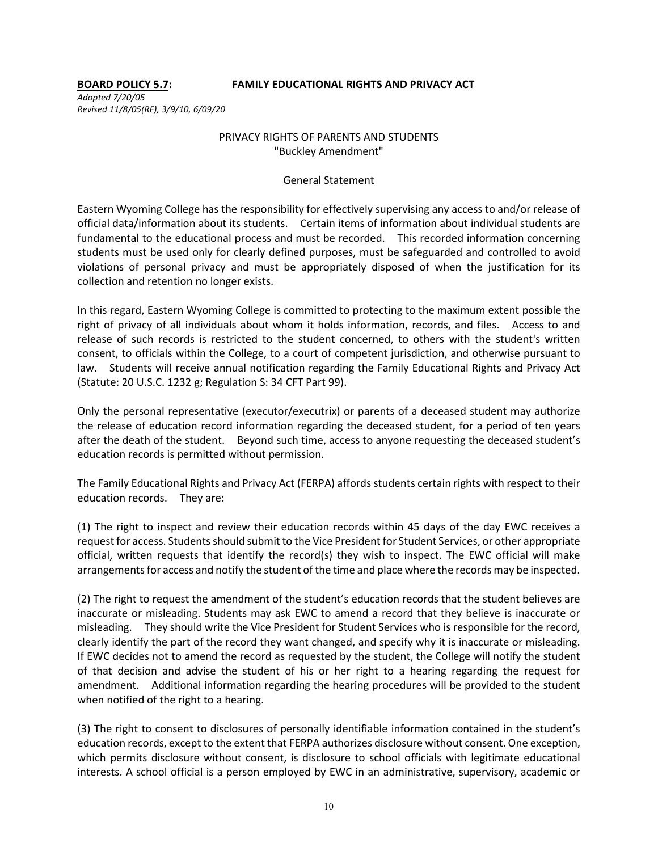### **BOARD POLICY 5.7: FAMILY EDUCATIONAL RIGHTS AND PRIVACY ACT**

*Adopted 7/20/05 Revised 11/8/05(RF), 3/9/10, 6/09/20*

# PRIVACY RIGHTS OF PARENTS AND STUDENTS "Buckley Amendment"

#### General Statement

Eastern Wyoming College has the responsibility for effectively supervising any access to and/or release of official data/information about its students. Certain items of information about individual students are fundamental to the educational process and must be recorded. This recorded information concerning students must be used only for clearly defined purposes, must be safeguarded and controlled to avoid violations of personal privacy and must be appropriately disposed of when the justification for its collection and retention no longer exists.

In this regard, Eastern Wyoming College is committed to protecting to the maximum extent possible the right of privacy of all individuals about whom it holds information, records, and files. Access to and release of such records is restricted to the student concerned, to others with the student's written consent, to officials within the College, to a court of competent jurisdiction, and otherwise pursuant to law. Students will receive annual notification regarding the Family Educational Rights and Privacy Act (Statute: 20 U.S.C. 1232 g; Regulation S: 34 CFT Part 99).

Only the personal representative (executor/executrix) or parents of a deceased student may authorize the release of education record information regarding the deceased student, for a period of ten years after the death of the student. Beyond such time, access to anyone requesting the deceased student's education records is permitted without permission.

The Family Educational Rights and Privacy Act (FERPA) affords students certain rights with respect to their education records. They are:

(1) The right to inspect and review their education records within 45 days of the day EWC receives a request for access. Students should submit to the Vice President for Student Services, or other appropriate official, written requests that identify the record(s) they wish to inspect. The EWC official will make arrangements for access and notify the student of the time and place where the records may be inspected.

(2) The right to request the amendment of the student's education records that the student believes are inaccurate or misleading. Students may ask EWC to amend a record that they believe is inaccurate or misleading. They should write the Vice President for Student Services who is responsible for the record, clearly identify the part of the record they want changed, and specify why it is inaccurate or misleading. If EWC decides not to amend the record as requested by the student, the College will notify the student of that decision and advise the student of his or her right to a hearing regarding the request for amendment. Additional information regarding the hearing procedures will be provided to the student when notified of the right to a hearing.

(3) The right to consent to disclosures of personally identifiable information contained in the student's education records, except to the extent that FERPA authorizes disclosure without consent. One exception, which permits disclosure without consent, is disclosure to school officials with legitimate educational interests. A school official is a person employed by EWC in an administrative, supervisory, academic or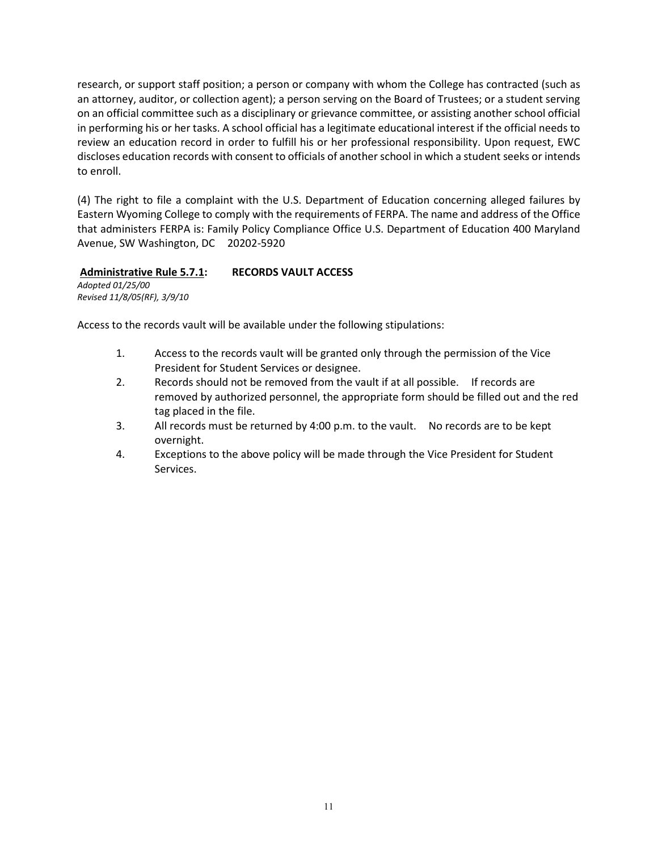research, or support staff position; a person or company with whom the College has contracted (such as an attorney, auditor, or collection agent); a person serving on the Board of Trustees; or a student serving on an official committee such as a disciplinary or grievance committee, or assisting another school official in performing his or her tasks. A school official has a legitimate educational interest if the official needs to review an education record in order to fulfill his or her professional responsibility. Upon request, EWC discloses education records with consent to officials of another school in which a student seeks or intends to enroll.

(4) The right to file a complaint with the U.S. Department of Education concerning alleged failures by Eastern Wyoming College to comply with the requirements of FERPA. The name and address of the Office that administers FERPA is: Family Policy Compliance Office U.S. Department of Education 400 Maryland Avenue, SW Washington, DC 20202-5920

# **Administrative Rule 5.7.1: RECORDS VAULT ACCESS**

*Adopted 01/25/00 Revised 11/8/05(RF), 3/9/10*

Access to the records vault will be available under the following stipulations:

- 1. Access to the records vault will be granted only through the permission of the Vice President for Student Services or designee.
- 2. Records should not be removed from the vault if at all possible. If records are removed by authorized personnel, the appropriate form should be filled out and the red tag placed in the file.
- 3. All records must be returned by 4:00 p.m. to the vault. No records are to be kept overnight.
- 4. Exceptions to the above policy will be made through the Vice President for Student Services.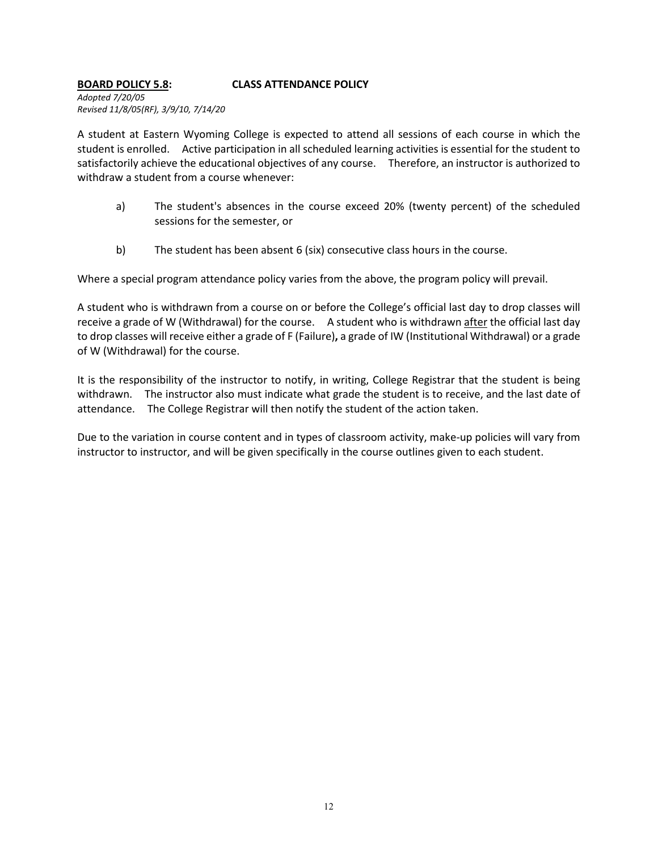# **BOARD POLICY 5.8: CLASS ATTENDANCE POLICY**

*Adopted 7/20/05 Revised 11/8/05(RF), 3/9/10, 7/14/20*

A student at Eastern Wyoming College is expected to attend all sessions of each course in which the student is enrolled. Active participation in all scheduled learning activities is essential for the student to satisfactorily achieve the educational objectives of any course. Therefore, an instructor is authorized to withdraw a student from a course whenever:

- a) The student's absences in the course exceed 20% (twenty percent) of the scheduled sessions for the semester, or
- b) The student has been absent 6 (six) consecutive class hours in the course.

Where a special program attendance policy varies from the above, the program policy will prevail.

A student who is withdrawn from a course on or before the College's official last day to drop classes will receive a grade of W (Withdrawal) for the course. A student who is withdrawn after the official last day to drop classes will receive either a grade of F (Failure)**,** a grade of IW (Institutional Withdrawal) or a grade of W (Withdrawal) for the course.

It is the responsibility of the instructor to notify, in writing, College Registrar that the student is being withdrawn. The instructor also must indicate what grade the student is to receive, and the last date of attendance. The College Registrar will then notify the student of the action taken.

Due to the variation in course content and in types of classroom activity, make-up policies will vary from instructor to instructor, and will be given specifically in the course outlines given to each student.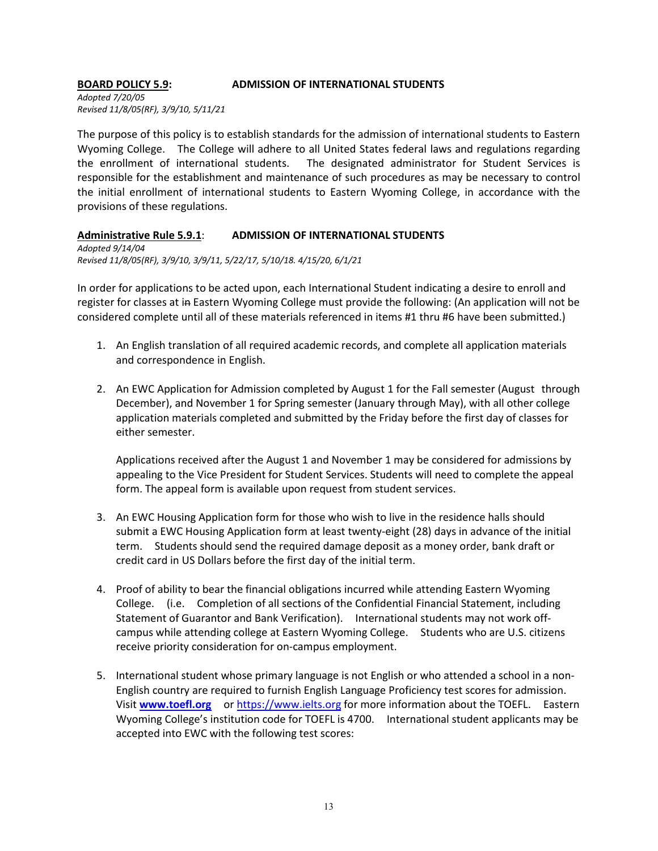### **BOARD POLICY 5.9: ADMISSION OF INTERNATIONAL STUDENTS**

*Adopted 7/20/05 Revised 11/8/05(RF), 3/9/10, 5/11/21*

The purpose of this policy is to establish standards for the admission of international students to Eastern Wyoming College. The College will adhere to all United States federal laws and regulations regarding the enrollment of international students. The designated administrator for Student Services is responsible for the establishment and maintenance of such procedures as may be necessary to control the initial enrollment of international students to Eastern Wyoming College, in accordance with the provisions of these regulations.

# **Administrative Rule 5.9.1**: **ADMISSION OF INTERNATIONAL STUDENTS**

*Adopted 9/14/04 Revised 11/8/05(RF), 3/9/10, 3/9/11, 5/22/17, 5/10/18. 4/15/20, 6/1/21*

In order for applications to be acted upon, each International Student indicating a desire to enroll and register for classes at in Eastern Wyoming College must provide the following: (An application will not be considered complete until all of these materials referenced in items #1 thru #6 have been submitted.)

- 1. An English translation of all required academic records, and complete all application materials and correspondence in English.
- 2. An EWC Application for Admission completed by August 1 for the Fall semester (August through December), and November 1 for Spring semester (January through May), with all other college application materials completed and submitted by the Friday before the first day of classes for either semester.

Applications received after the August 1 and November 1 may be considered for admissions by appealing to the Vice President for Student Services. Students will need to complete the appeal form. The appeal form is available upon request from student services.

- 3. An EWC Housing Application form for those who wish to live in the residence halls should submit a EWC Housing Application form at least twenty-eight (28) days in advance of the initial term. Students should send the required damage deposit as a money order, bank draft or credit card in US Dollars before the first day of the initial term.
- 4. Proof of ability to bear the financial obligations incurred while attending Eastern Wyoming College. (i.e. Completion of all sections of the Confidential Financial Statement, including Statement of Guarantor and Bank Verification). International students may not work offcampus while attending college at Eastern Wyoming College. Students who are U.S. citizens receive priority consideration for on-campus employment.
- 5. International student whose primary language is not English or who attended a school in a non-English country are required to furnish English Language Proficiency test scores for admission. Visit **www.toefl.org** or [https://www.ielts.org](https://www.ielts.org/) for more information about the TOEFL. Eastern Wyoming College's institution code for TOEFL is 4700. International student applicants may be accepted into EWC with the following test scores: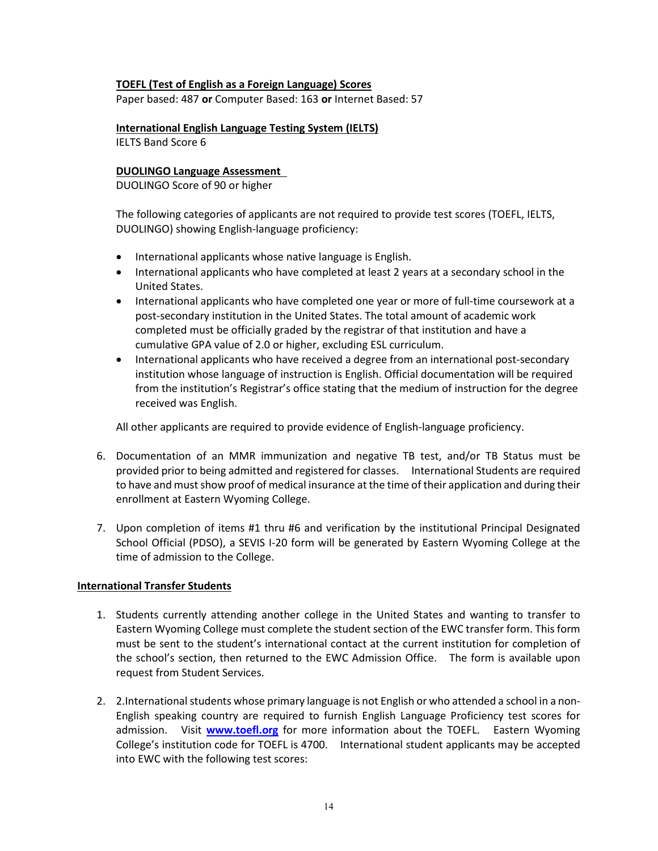## **TOEFL (Test of English as a Foreign Language) Scores**

Paper based: 487 **or** Computer Based: 163 **or** Internet Based: 57

**International English Language Testing System (IELTS)**

IELTS Band Score 6

## **DUOLINGO Language Assessment**

DUOLINGO Score of 90 or higher

The following categories of applicants are not required to provide test scores (TOEFL, IELTS, DUOLINGO) showing English-language proficiency:

- International applicants whose native language is English.
- International applicants who have completed at least 2 years at a secondary school in the United States.
- International applicants who have completed one year or more of full-time coursework at a post-secondary institution in the United States. The total amount of academic work completed must be officially graded by the registrar of that institution and have a cumulative GPA value of 2.0 or higher, excluding ESL curriculum.
- International applicants who have received a degree from an international post-secondary institution whose language of instruction is English. Official documentation will be required from the institution's Registrar's office stating that the medium of instruction for the degree received was English.

All other applicants are required to provide evidence of English-language proficiency.

- 6. Documentation of an MMR immunization and negative TB test, and/or TB Status must be provided prior to being admitted and registered for classes. International Students are required to have and must show proof of medical insurance at the time of their application and during their enrollment at Eastern Wyoming College.
- 7. Upon completion of items #1 thru #6 and verification by the institutional Principal Designated School Official (PDSO), a SEVIS I-20 form will be generated by Eastern Wyoming College at the time of admission to the College.

# **International Transfer Students**

- 1. Students currently attending another college in the United States and wanting to transfer to Eastern Wyoming College must complete the student section of the EWC transfer form. This form must be sent to the student's international contact at the current institution for completion of the school's section, then returned to the EWC Admission Office. The form is available upon request from Student Services.
- 2. 2.International students whose primary language is not English or who attended a school in a non-English speaking country are required to furnish English Language Proficiency test scores for admission. Visit **www.toefl.org** for more information about the TOEFL. Eastern Wyoming College's institution code for TOEFL is 4700. International student applicants may be accepted into EWC with the following test scores: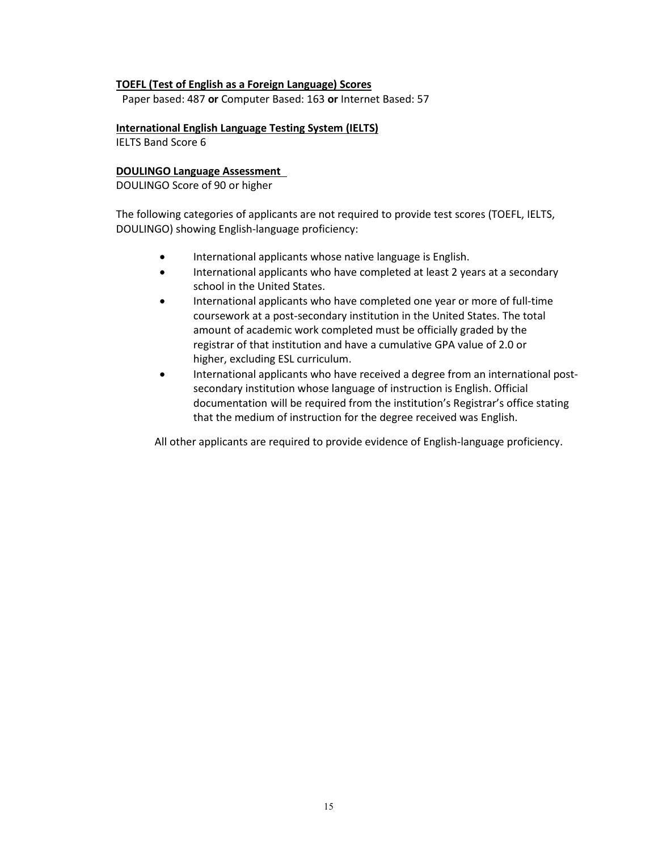#### **TOEFL (Test of English as a Foreign Language) Scores**

Paper based: 487 **or** Computer Based: 163 **or** Internet Based: 57

**International English Language Testing System (IELTS)**

IELTS Band Score 6

## **DOULINGO Language Assessment**

DOULINGO Score of 90 or higher

The following categories of applicants are not required to provide test scores (TOEFL, IELTS, DOULINGO) showing English-language proficiency:

- International applicants whose native language is English.
- International applicants who have completed at least 2 years at a secondary school in the United States.
- International applicants who have completed one year or more of full-time coursework at a post-secondary institution in the United States. The total amount of academic work completed must be officially graded by the registrar of that institution and have a cumulative GPA value of 2.0 or higher, excluding ESL curriculum.
- International applicants who have received a degree from an international postsecondary institution whose language of instruction is English. Official documentation will be required from the institution's Registrar's office stating that the medium of instruction for the degree received was English.

All other applicants are required to provide evidence of English-language proficiency.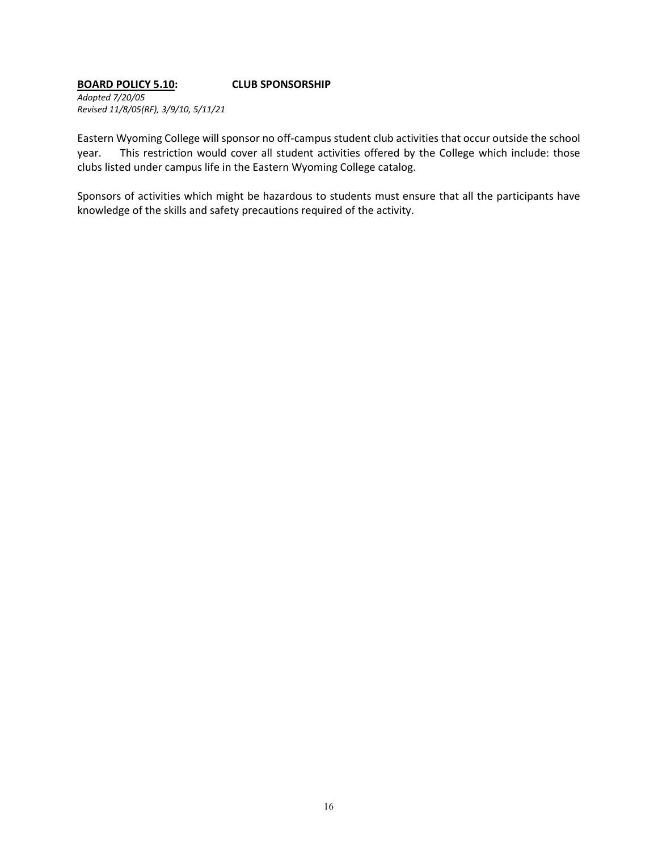#### **BOARD POLICY 5.10: CLUB SPONSORSHIP**

*Adopted 7/20/05 Revised 11/8/05(RF), 3/9/10, 5/11/21*

Eastern Wyoming College will sponsor no off-campus student club activities that occur outside the school year. This restriction would cover all student activities offered by the College which include: those clubs listed under campus life in the Eastern Wyoming College catalog.

Sponsors of activities which might be hazardous to students must ensure that all the participants have knowledge of the skills and safety precautions required of the activity.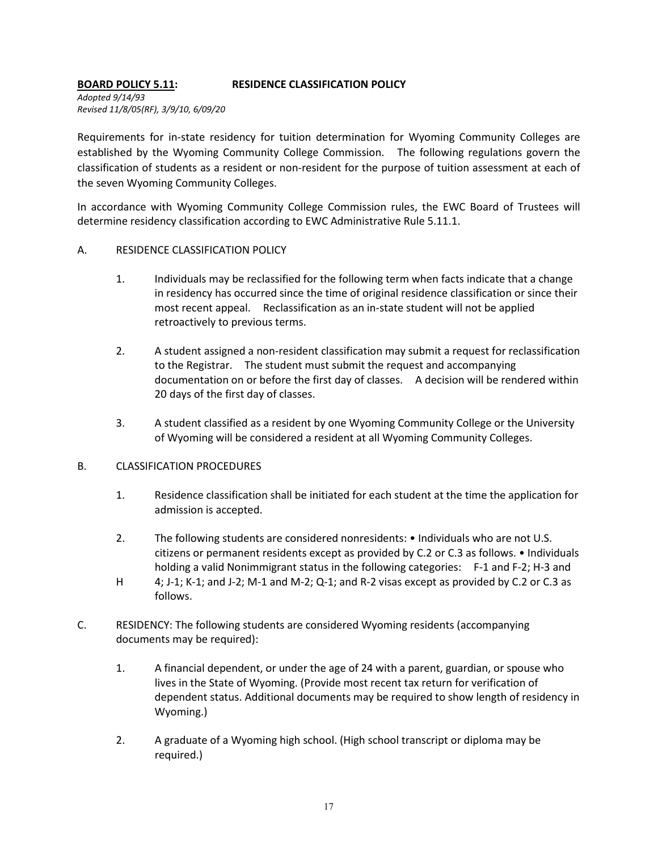# **BOARD POLICY 5.11: RESIDENCE CLASSIFICATION POLICY**

*Adopted 9/14/93 Revised 11/8/05(RF), 3/9/10, 6/09/20*

Requirements for in-state residency for tuition determination for Wyoming Community Colleges are established by the Wyoming Community College Commission. The following regulations govern the classification of students as a resident or non-resident for the purpose of tuition assessment at each of the seven Wyoming Community Colleges.

In accordance with Wyoming Community College Commission rules, the EWC Board of Trustees will determine residency classification according to EWC Administrative Rule 5.11.1.

# A. RESIDENCE CLASSIFICATION POLICY

- 1. Individuals may be reclassified for the following term when facts indicate that a change in residency has occurred since the time of original residence classification or since their most recent appeal. Reclassification as an in-state student will not be applied retroactively to previous terms.
- 2. A student assigned a non-resident classification may submit a request for reclassification to the Registrar. The student must submit the request and accompanying documentation on or before the first day of classes. A decision will be rendered within 20 days of the first day of classes.
- 3. A student classified as a resident by one Wyoming Community College or the University of Wyoming will be considered a resident at all Wyoming Community Colleges.

# B. CLASSIFICATION PROCEDURES

- 1. Residence classification shall be initiated for each student at the time the application for admission is accepted.
- 2. The following students are considered nonresidents: Individuals who are not U.S. citizens or permanent residents except as provided by C.2 or C.3 as follows. • Individuals holding a valid Nonimmigrant status in the following categories: F-1 and F-2; H-3 and
- H 4; J-1; K-1; and J-2; M-1 and M-2; Q-1; and R-2 visas except as provided by C.2 or C.3 as follows.
- C. RESIDENCY: The following students are considered Wyoming residents (accompanying documents may be required):
	- 1. A financial dependent, or under the age of 24 with a parent, guardian, or spouse who lives in the State of Wyoming. (Provide most recent tax return for verification of dependent status. Additional documents may be required to show length of residency in Wyoming.)
	- 2. A graduate of a Wyoming high school. (High school transcript or diploma may be required.)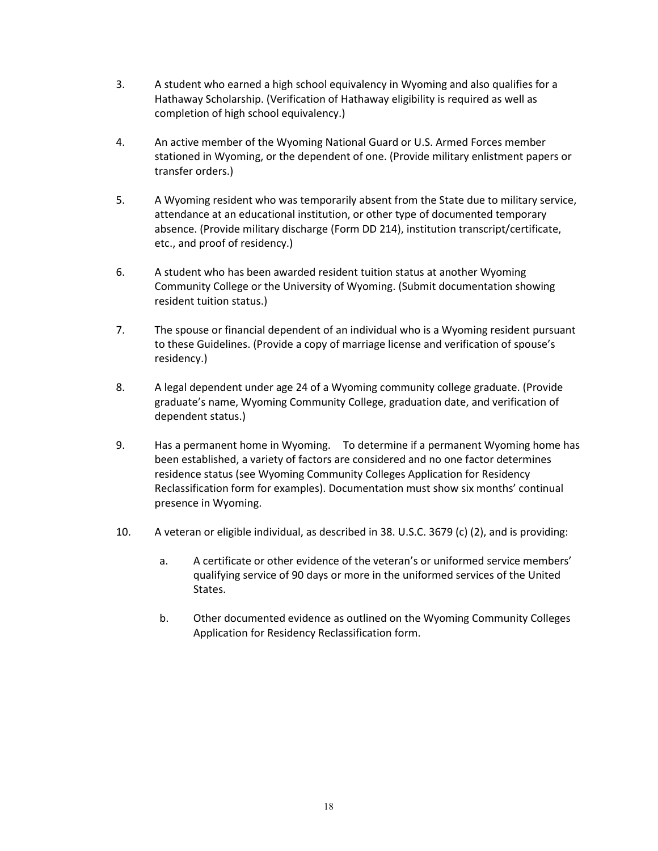- 3. A student who earned a high school equivalency in Wyoming and also qualifies for a Hathaway Scholarship. (Verification of Hathaway eligibility is required as well as completion of high school equivalency.)
- 4. An active member of the Wyoming National Guard or U.S. Armed Forces member stationed in Wyoming, or the dependent of one. (Provide military enlistment papers or transfer orders.)
- 5. A Wyoming resident who was temporarily absent from the State due to military service, attendance at an educational institution, or other type of documented temporary absence. (Provide military discharge (Form DD 214), institution transcript/certificate, etc., and proof of residency.)
- 6. A student who has been awarded resident tuition status at another Wyoming Community College or the University of Wyoming. (Submit documentation showing resident tuition status.)
- 7. The spouse or financial dependent of an individual who is a Wyoming resident pursuant to these Guidelines. (Provide a copy of marriage license and verification of spouse's residency.)
- 8. A legal dependent under age 24 of a Wyoming community college graduate. (Provide graduate's name, Wyoming Community College, graduation date, and verification of dependent status.)
- 9. Has a permanent home in Wyoming. To determine if a permanent Wyoming home has been established, a variety of factors are considered and no one factor determines residence status (see Wyoming Community Colleges Application for Residency Reclassification form for examples). Documentation must show six months' continual presence in Wyoming.
- 10. A veteran or eligible individual, as described in 38. U.S.C. 3679 (c) (2), and is providing:
	- a. A certificate or other evidence of the veteran's or uniformed service members' qualifying service of 90 days or more in the uniformed services of the United States.
	- b. Other documented evidence as outlined on the Wyoming Community Colleges Application for Residency Reclassification form.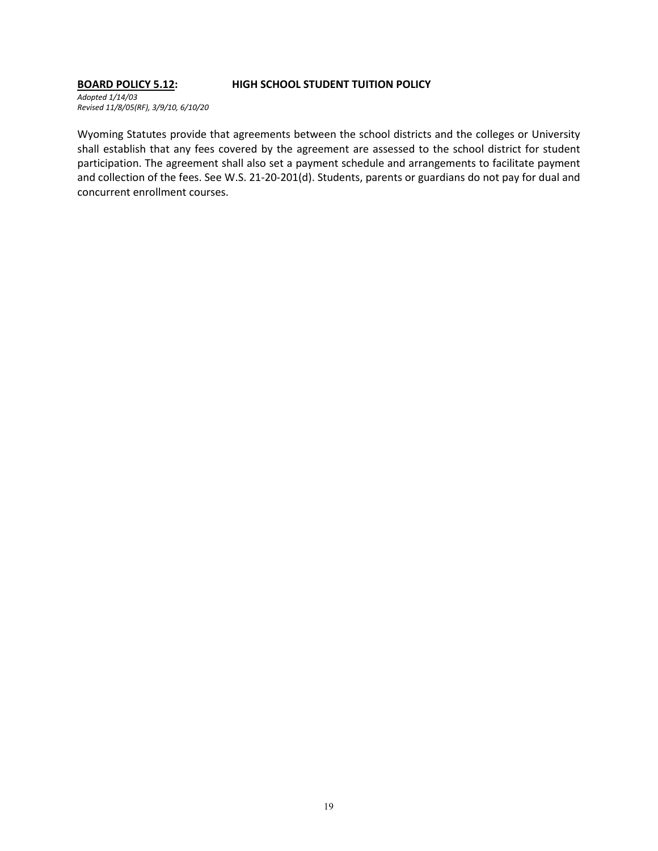#### **BOARD POLICY 5.12: HIGH SCHOOL STUDENT TUITION POLICY**

*Adopted 1/14/03 Revised 11/8/05(RF), 3/9/10, 6/10/20*

Wyoming Statutes provide that agreements between the school districts and the colleges or University shall establish that any fees covered by the agreement are assessed to the school district for student participation. The agreement shall also set a payment schedule and arrangements to facilitate payment and collection of the fees. See W.S. 21-20-201(d). Students, parents or guardians do not pay for dual and concurrent enrollment courses.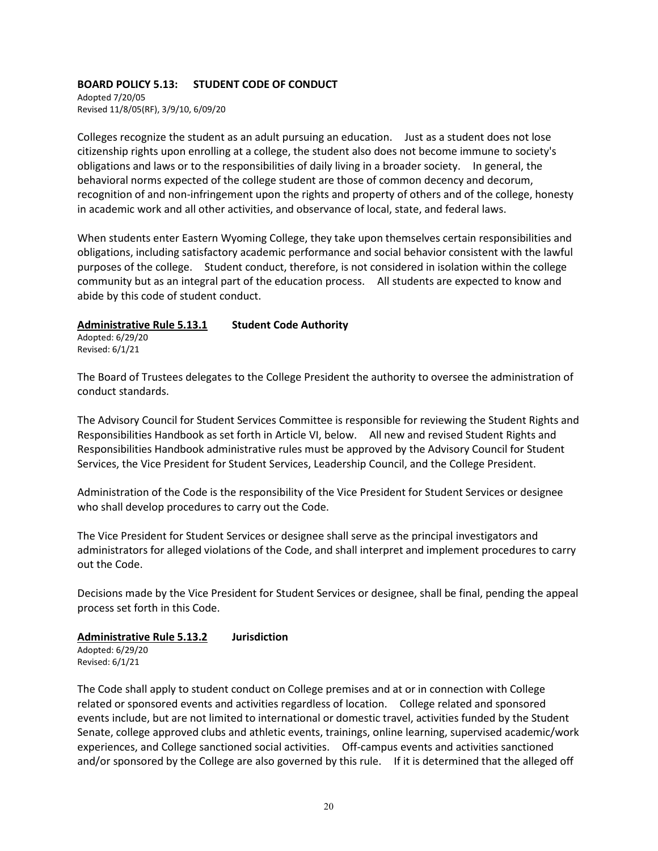# **BOARD POLICY 5.13: STUDENT CODE OF CONDUCT**

Adopted 7/20/05 Revised 11/8/05(RF), 3/9/10, 6/09/20

Colleges recognize the student as an adult pursuing an education. Just as a student does not lose citizenship rights upon enrolling at a college, the student also does not become immune to society's obligations and laws or to the responsibilities of daily living in a broader society. In general, the behavioral norms expected of the college student are those of common decency and decorum, recognition of and non-infringement upon the rights and property of others and of the college, honesty in academic work and all other activities, and observance of local, state, and federal laws.

When students enter Eastern Wyoming College, they take upon themselves certain responsibilities and obligations, including satisfactory academic performance and social behavior consistent with the lawful purposes of the college. Student conduct, therefore, is not considered in isolation within the college community but as an integral part of the education process. All students are expected to know and abide by this code of student conduct.

# **Administrative Rule 5.13.1 Student Code Authority**

Adopted: 6/29/20 Revised: 6/1/21

The Board of Trustees delegates to the College President the authority to oversee the administration of conduct standards.

The Advisory Council for Student Services Committee is responsible for reviewing the Student Rights and Responsibilities Handbook as set forth in Article VI, below. All new and revised Student Rights and Responsibilities Handbook administrative rules must be approved by the Advisory Council for Student Services, the Vice President for Student Services, Leadership Council, and the College President.

Administration of the Code is the responsibility of the Vice President for Student Services or designee who shall develop procedures to carry out the Code.

The Vice President for Student Services or designee shall serve as the principal investigators and administrators for alleged violations of the Code, and shall interpret and implement procedures to carry out the Code.

Decisions made by the Vice President for Student Services or designee, shall be final, pending the appeal process set forth in this Code.

# **Administrative Rule 5.13.2 Jurisdiction**

Adopted: 6/29/20 Revised: 6/1/21

The Code shall apply to student conduct on College premises and at or in connection with College related or sponsored events and activities regardless of location. College related and sponsored events include, but are not limited to international or domestic travel, activities funded by the Student Senate, college approved clubs and athletic events, trainings, online learning, supervised academic/work experiences, and College sanctioned social activities. Off-campus events and activities sanctioned and/or sponsored by the College are also governed by this rule. If it is determined that the alleged off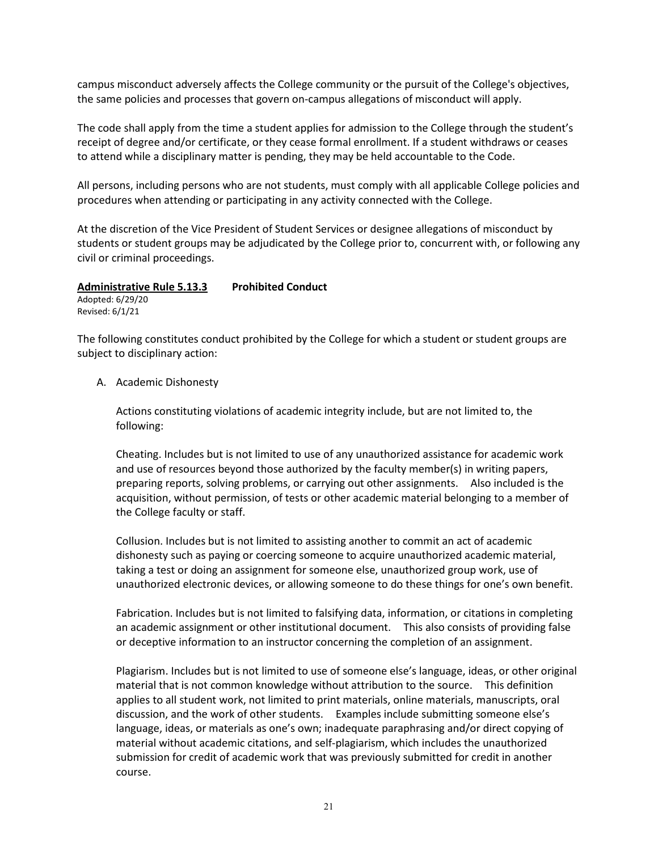campus misconduct adversely affects the College community or the pursuit of the College's objectives, the same policies and processes that govern on-campus allegations of misconduct will apply.

The code shall apply from the time a student applies for admission to the College through the student's receipt of degree and/or certificate, or they cease formal enrollment. If a student withdraws or ceases to attend while a disciplinary matter is pending, they may be held accountable to the Code.

All persons, including persons who are not students, must comply with all applicable College policies and procedures when attending or participating in any activity connected with the College.

At the discretion of the Vice President of Student Services or designee allegations of misconduct by students or student groups may be adjudicated by the College prior to, concurrent with, or following any civil or criminal proceedings.

**Administrative Rule 5.13.3 Prohibited Conduct** Adopted: 6/29/20

Revised: 6/1/21

The following constitutes conduct prohibited by the College for which a student or student groups are subject to disciplinary action:

# A. Academic Dishonesty

Actions constituting violations of academic integrity include, but are not limited to, the following:

Cheating. Includes but is not limited to use of any unauthorized assistance for academic work and use of resources beyond those authorized by the faculty member(s) in writing papers, preparing reports, solving problems, or carrying out other assignments. Also included is the acquisition, without permission, of tests or other academic material belonging to a member of the College faculty or staff.

Collusion. Includes but is not limited to assisting another to commit an act of academic dishonesty such as paying or coercing someone to acquire unauthorized academic material, taking a test or doing an assignment for someone else, unauthorized group work, use of unauthorized electronic devices, or allowing someone to do these things for one's own benefit.

Fabrication. Includes but is not limited to falsifying data, information, or citations in completing an academic assignment or other institutional document. This also consists of providing false or deceptive information to an instructor concerning the completion of an assignment.

Plagiarism. Includes but is not limited to use of someone else's language, ideas, or other original material that is not common knowledge without attribution to the source. This definition applies to all student work, not limited to print materials, online materials, manuscripts, oral discussion, and the work of other students. Examples include submitting someone else's language, ideas, or materials as one's own; inadequate paraphrasing and/or direct copying of material without academic citations, and self-plagiarism, which includes the unauthorized submission for credit of academic work that was previously submitted for credit in another course.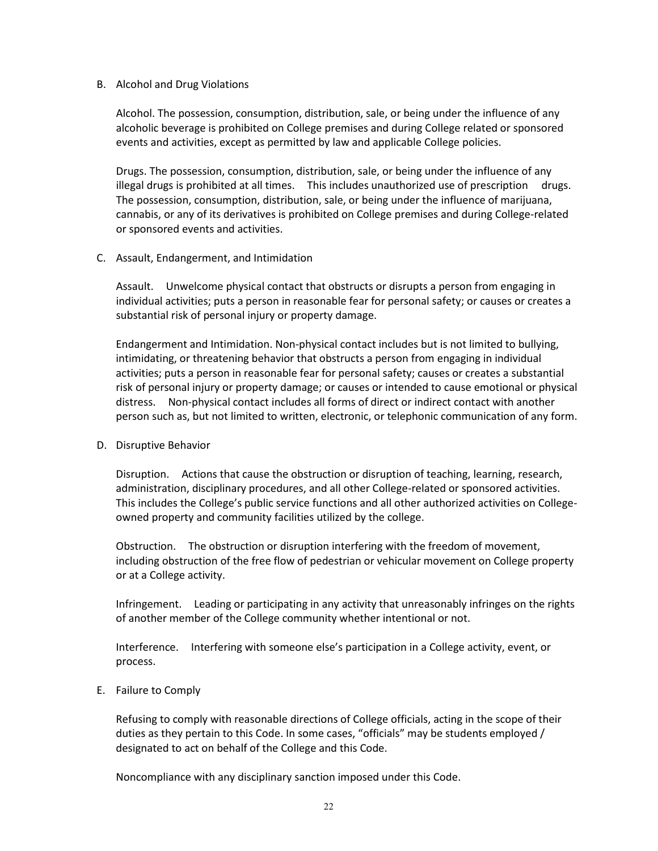#### B. Alcohol and Drug Violations

Alcohol. The possession, consumption, distribution, sale, or being under the influence of any alcoholic beverage is prohibited on College premises and during College related or sponsored events and activities, except as permitted by law and applicable College policies.

Drugs. The possession, consumption, distribution, sale, or being under the influence of any illegal drugs is prohibited at all times. This includes unauthorized use of prescription drugs. The possession, consumption, distribution, sale, or being under the influence of marijuana, cannabis, or any of its derivatives is prohibited on College premises and during College-related or sponsored events and activities.

#### C. Assault, Endangerment, and Intimidation

Assault. Unwelcome physical contact that obstructs or disrupts a person from engaging in individual activities; puts a person in reasonable fear for personal safety; or causes or creates a substantial risk of personal injury or property damage.

Endangerment and Intimidation. Non-physical contact includes but is not limited to bullying, intimidating, or threatening behavior that obstructs a person from engaging in individual activities; puts a person in reasonable fear for personal safety; causes or creates a substantial risk of personal injury or property damage; or causes or intended to cause emotional or physical distress. Non-physical contact includes all forms of direct or indirect contact with another person such as, but not limited to written, electronic, or telephonic communication of any form.

# D. Disruptive Behavior

Disruption. Actions that cause the obstruction or disruption of teaching, learning, research, administration, disciplinary procedures, and all other College-related or sponsored activities. This includes the College's public service functions and all other authorized activities on Collegeowned property and community facilities utilized by the college.

Obstruction. The obstruction or disruption interfering with the freedom of movement, including obstruction of the free flow of pedestrian or vehicular movement on College property or at a College activity.

Infringement. Leading or participating in any activity that unreasonably infringes on the rights of another member of the College community whether intentional or not.

Interference. Interfering with someone else's participation in a College activity, event, or process.

# E. Failure to Comply

Refusing to comply with reasonable directions of College officials, acting in the scope of their duties as they pertain to this Code. In some cases, "officials" may be students employed / designated to act on behalf of the College and this Code.

Noncompliance with any disciplinary sanction imposed under this Code.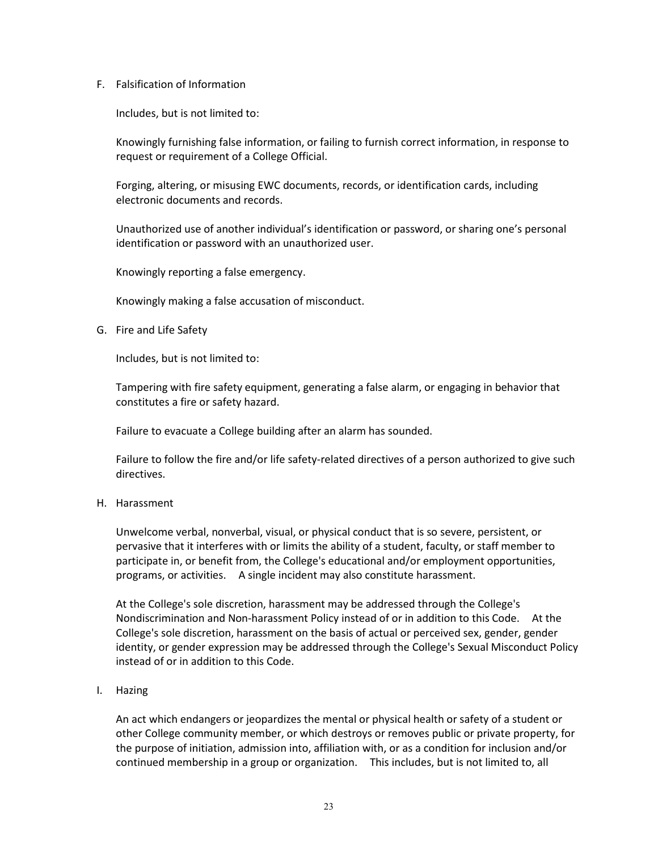F. Falsification of Information

Includes, but is not limited to:

Knowingly furnishing false information, or failing to furnish correct information, in response to request or requirement of a College Official.

Forging, altering, or misusing EWC documents, records, or identification cards, including electronic documents and records.

Unauthorized use of another individual's identification or password, or sharing one's personal identification or password with an unauthorized user.

Knowingly reporting a false emergency.

Knowingly making a false accusation of misconduct.

G. Fire and Life Safety

Includes, but is not limited to:

Tampering with fire safety equipment, generating a false alarm, or engaging in behavior that constitutes a fire or safety hazard.

Failure to evacuate a College building after an alarm has sounded.

Failure to follow the fire and/or life safety-related directives of a person authorized to give such directives.

H. Harassment

Unwelcome verbal, nonverbal, visual, or physical conduct that is so severe, persistent, or pervasive that it interferes with or limits the ability of a student, faculty, or staff member to participate in, or benefit from, the College's educational and/or employment opportunities, programs, or activities. A single incident may also constitute harassment.

At the College's sole discretion, harassment may be addressed through the College's Nondiscrimination and Non-harassment Policy instead of or in addition to this Code. At the College's sole discretion, harassment on the basis of actual or perceived sex, gender, gender identity, or gender expression may be addressed through the College's Sexual Misconduct Policy instead of or in addition to this Code.

# I. Hazing

An act which endangers or jeopardizes the mental or physical health or safety of a student or other College community member, or which destroys or removes public or private property, for the purpose of initiation, admission into, affiliation with, or as a condition for inclusion and/or continued membership in a group or organization. This includes, but is not limited to, all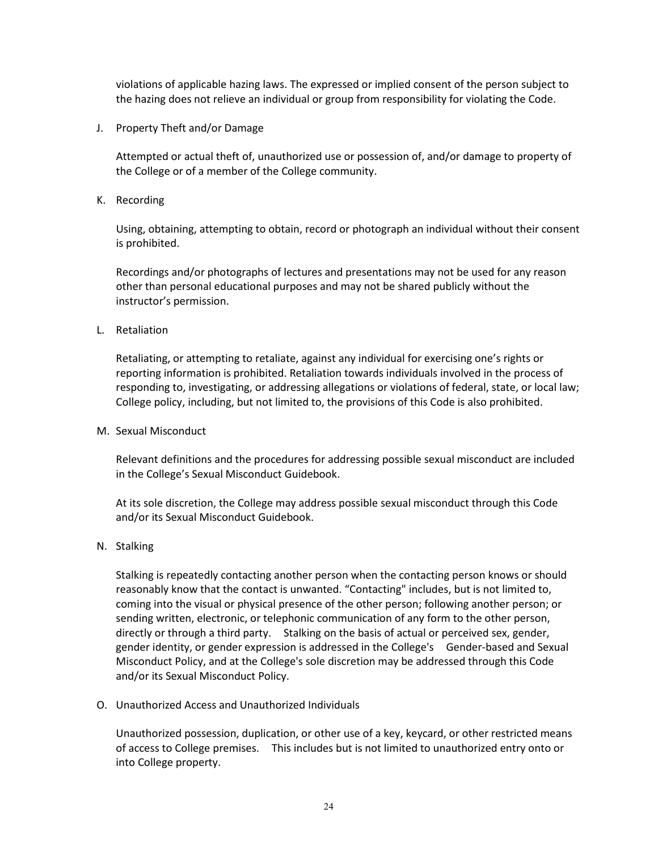violations of applicable hazing laws. The expressed or implied consent of the person subject to the hazing does not relieve an individual or group from responsibility for violating the Code.

J. Property Theft and/or Damage

Attempted or actual theft of, unauthorized use or possession of, and/or damage to property of the College or of a member of the College community.

K. Recording

Using, obtaining, attempting to obtain, record or photograph an individual without their consent is prohibited.

Recordings and/or photographs of lectures and presentations may not be used for any reason other than personal educational purposes and may not be shared publicly without the instructor's permission.

L. Retaliation

Retaliating, or attempting to retaliate, against any individual for exercising one's rights or reporting information is prohibited. Retaliation towards individuals involved in the process of responding to, investigating, or addressing allegations or violations of federal, state, or local law; College policy, including, but not limited to, the provisions of this Code is also prohibited.

M. Sexual Misconduct

Relevant definitions and the procedures for addressing possible sexual misconduct are included in the College's Sexual Misconduct Guidebook.

At its sole discretion, the College may address possible sexual misconduct through this Code and/or its Sexual Misconduct Guidebook.

N. Stalking

Stalking is repeatedly contacting another person when the contacting person knows or should reasonably know that the contact is unwanted. "Contacting" includes, but is not limited to, coming into the visual or physical presence of the other person; following another person; or sending written, electronic, or telephonic communication of any form to the other person, directly or through a third party. Stalking on the basis of actual or perceived sex, gender, gender identity, or gender expression is addressed in the College's Gender-based and Sexual Misconduct Policy, and at the College's sole discretion may be addressed through this Code and/or its Sexual Misconduct Policy.

O. Unauthorized Access and Unauthorized Individuals

Unauthorized possession, duplication, or other use of a key, keycard, or other restricted means of access to College premises. This includes but is not limited to unauthorized entry onto or into College property.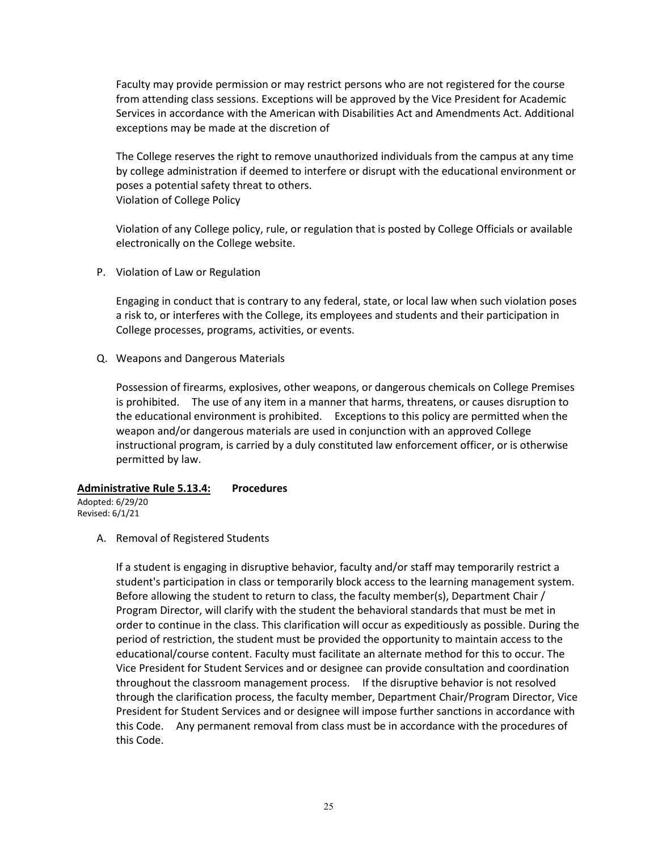Faculty may provide permission or may restrict persons who are not registered for the course from attending class sessions. Exceptions will be approved by the Vice President for Academic Services in accordance with the American with Disabilities Act and Amendments Act. Additional exceptions may be made at the discretion of

The College reserves the right to remove unauthorized individuals from the campus at any time by college administration if deemed to interfere or disrupt with the educational environment or poses a potential safety threat to others. Violation of College Policy

Violation of any College policy, rule, or regulation that is posted by College Officials or available electronically on the College website.

P. Violation of Law or Regulation

Engaging in conduct that is contrary to any federal, state, or local law when such violation poses a risk to, or interferes with the College, its employees and students and their participation in College processes, programs, activities, or events.

Q. Weapons and Dangerous Materials

Possession of firearms, explosives, other weapons, or dangerous chemicals on College Premises is prohibited. The use of any item in a manner that harms, threatens, or causes disruption to the educational environment is prohibited. Exceptions to this policy are permitted when the weapon and/or dangerous materials are used in conjunction with an approved College instructional program, is carried by a duly constituted law enforcement officer, or is otherwise permitted by law.

#### **Administrative Rule 5.13.4: Procedures**

Adopted: 6/29/20 Revised: 6/1/21

A. Removal of Registered Students

If a student is engaging in disruptive behavior, faculty and/or staff may temporarily restrict a student's participation in class or temporarily block access to the learning management system. Before allowing the student to return to class, the faculty member(s), Department Chair / Program Director, will clarify with the student the behavioral standards that must be met in order to continue in the class. This clarification will occur as expeditiously as possible. During the period of restriction, the student must be provided the opportunity to maintain access to the educational/course content. Faculty must facilitate an alternate method for this to occur. The Vice President for Student Services and or designee can provide consultation and coordination throughout the classroom management process. If the disruptive behavior is not resolved through the clarification process, the faculty member, Department Chair/Program Director, Vice President for Student Services and or designee will impose further sanctions in accordance with this Code. Any permanent removal from class must be in accordance with the procedures of this Code.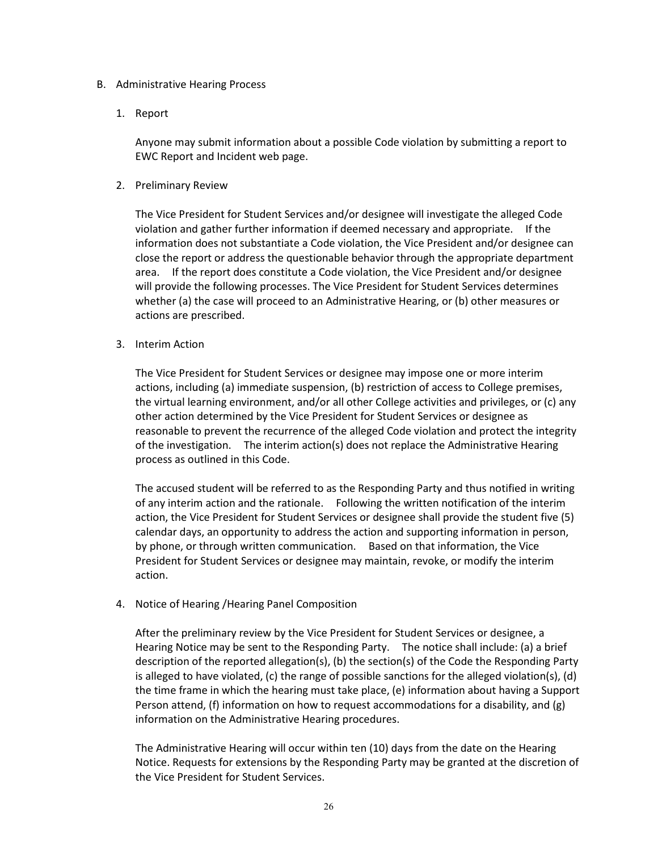#### B. Administrative Hearing Process

1. Report

Anyone may submit information about a possible Code violation by submitting a report to EWC Report and Incident web page.

2. Preliminary Review

The Vice President for Student Services and/or designee will investigate the alleged Code violation and gather further information if deemed necessary and appropriate. If the information does not substantiate a Code violation, the Vice President and/or designee can close the report or address the questionable behavior through the appropriate department area. If the report does constitute a Code violation, the Vice President and/or designee will provide the following processes. The Vice President for Student Services determines whether (a) the case will proceed to an Administrative Hearing, or (b) other measures or actions are prescribed.

3. Interim Action

The Vice President for Student Services or designee may impose one or more interim actions, including (a) immediate suspension, (b) restriction of access to College premises, the virtual learning environment, and/or all other College activities and privileges, or (c) any other action determined by the Vice President for Student Services or designee as reasonable to prevent the recurrence of the alleged Code violation and protect the integrity of the investigation. The interim action(s) does not replace the Administrative Hearing process as outlined in this Code.

The accused student will be referred to as the Responding Party and thus notified in writing of any interim action and the rationale. Following the written notification of the interim action, the Vice President for Student Services or designee shall provide the student five (5) calendar days, an opportunity to address the action and supporting information in person, by phone, or through written communication. Based on that information, the Vice President for Student Services or designee may maintain, revoke, or modify the interim action.

4. Notice of Hearing /Hearing Panel Composition

After the preliminary review by the Vice President for Student Services or designee, a Hearing Notice may be sent to the Responding Party. The notice shall include: (a) a brief description of the reported allegation(s), (b) the section(s) of the Code the Responding Party is alleged to have violated, (c) the range of possible sanctions for the alleged violation(s), (d) the time frame in which the hearing must take place, (e) information about having a Support Person attend, (f) information on how to request accommodations for a disability, and (g) information on the Administrative Hearing procedures.

The Administrative Hearing will occur within ten (10) days from the date on the Hearing Notice. Requests for extensions by the Responding Party may be granted at the discretion of the Vice President for Student Services.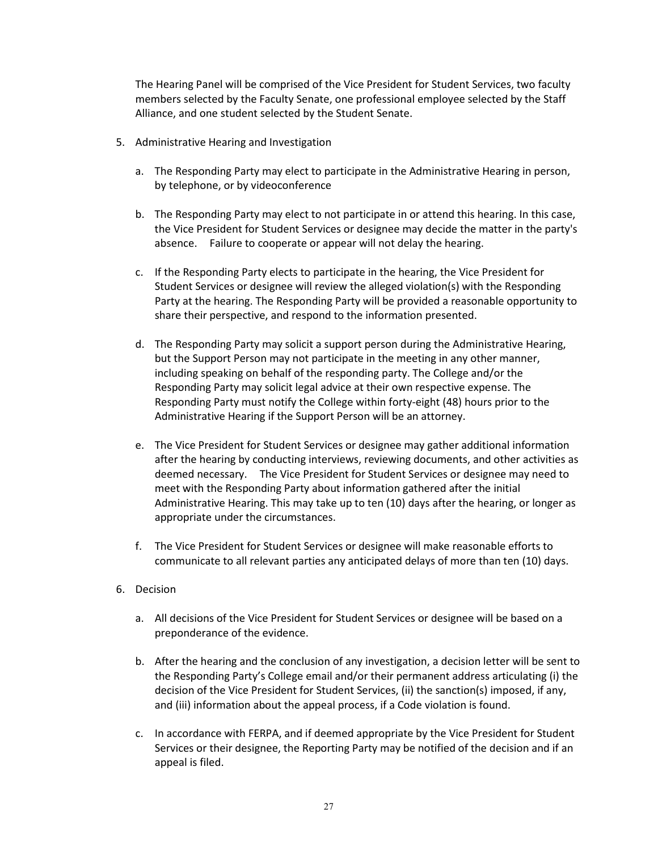The Hearing Panel will be comprised of the Vice President for Student Services, two faculty members selected by the Faculty Senate, one professional employee selected by the Staff Alliance, and one student selected by the Student Senate.

- 5. Administrative Hearing and Investigation
	- a. The Responding Party may elect to participate in the Administrative Hearing in person, by telephone, or by videoconference
	- b. The Responding Party may elect to not participate in or attend this hearing. In this case, the Vice President for Student Services or designee may decide the matter in the party's absence. Failure to cooperate or appear will not delay the hearing.
	- c. If the Responding Party elects to participate in the hearing, the Vice President for Student Services or designee will review the alleged violation(s) with the Responding Party at the hearing. The Responding Party will be provided a reasonable opportunity to share their perspective, and respond to the information presented.
	- d. The Responding Party may solicit a support person during the Administrative Hearing, but the Support Person may not participate in the meeting in any other manner, including speaking on behalf of the responding party. The College and/or the Responding Party may solicit legal advice at their own respective expense. The Responding Party must notify the College within forty-eight (48) hours prior to the Administrative Hearing if the Support Person will be an attorney.
	- e. The Vice President for Student Services or designee may gather additional information after the hearing by conducting interviews, reviewing documents, and other activities as deemed necessary. The Vice President for Student Services or designee may need to meet with the Responding Party about information gathered after the initial Administrative Hearing. This may take up to ten (10) days after the hearing, or longer as appropriate under the circumstances.
	- f. The Vice President for Student Services or designee will make reasonable efforts to communicate to all relevant parties any anticipated delays of more than ten (10) days.
- 6. Decision
	- a. All decisions of the Vice President for Student Services or designee will be based on a preponderance of the evidence.
	- b. After the hearing and the conclusion of any investigation, a decision letter will be sent to the Responding Party's College email and/or their permanent address articulating (i) the decision of the Vice President for Student Services, (ii) the sanction(s) imposed, if any, and (iii) information about the appeal process, if a Code violation is found.
	- c. In accordance with FERPA, and if deemed appropriate by the Vice President for Student Services or their designee, the Reporting Party may be notified of the decision and if an appeal is filed.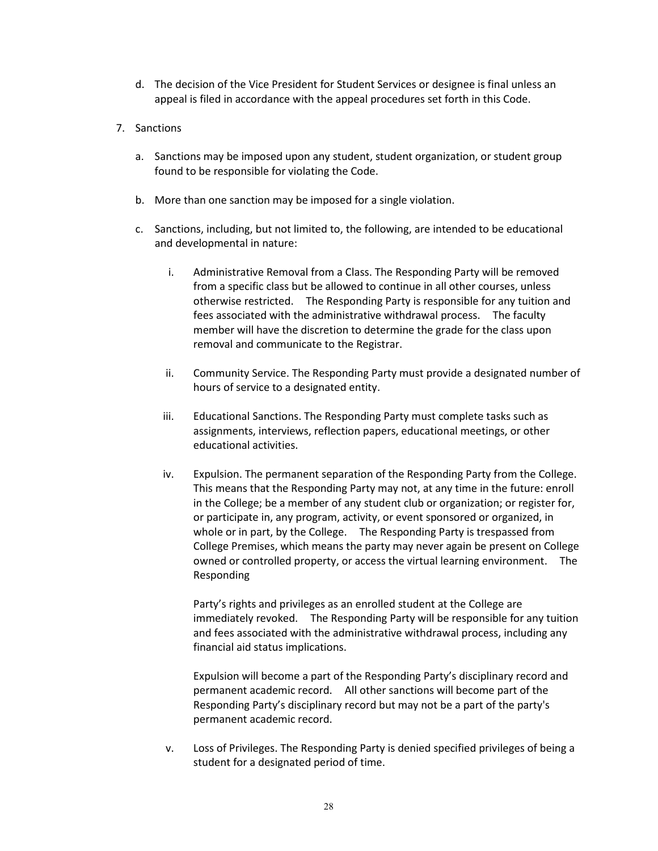- d. The decision of the Vice President for Student Services or designee is final unless an appeal is filed in accordance with the appeal procedures set forth in this Code.
- 7. Sanctions
	- a. Sanctions may be imposed upon any student, student organization, or student group found to be responsible for violating the Code.
	- b. More than one sanction may be imposed for a single violation.
	- c. Sanctions, including, but not limited to, the following, are intended to be educational and developmental in nature:
		- i. Administrative Removal from a Class. The Responding Party will be removed from a specific class but be allowed to continue in all other courses, unless otherwise restricted. The Responding Party is responsible for any tuition and fees associated with the administrative withdrawal process. The faculty member will have the discretion to determine the grade for the class upon removal and communicate to the Registrar.
		- ii. Community Service. The Responding Party must provide a designated number of hours of service to a designated entity.
		- iii. Educational Sanctions. The Responding Party must complete tasks such as assignments, interviews, reflection papers, educational meetings, or other educational activities.
		- iv. Expulsion. The permanent separation of the Responding Party from the College. This means that the Responding Party may not, at any time in the future: enroll in the College; be a member of any student club or organization; or register for, or participate in, any program, activity, or event sponsored or organized, in whole or in part, by the College. The Responding Party is trespassed from College Premises, which means the party may never again be present on College owned or controlled property, or access the virtual learning environment. The Responding

Party's rights and privileges as an enrolled student at the College are immediately revoked. The Responding Party will be responsible for any tuition and fees associated with the administrative withdrawal process, including any financial aid status implications.

Expulsion will become a part of the Responding Party's disciplinary record and permanent academic record. All other sanctions will become part of the Responding Party's disciplinary record but may not be a part of the party's permanent academic record.

v. Loss of Privileges. The Responding Party is denied specified privileges of being a student for a designated period of time.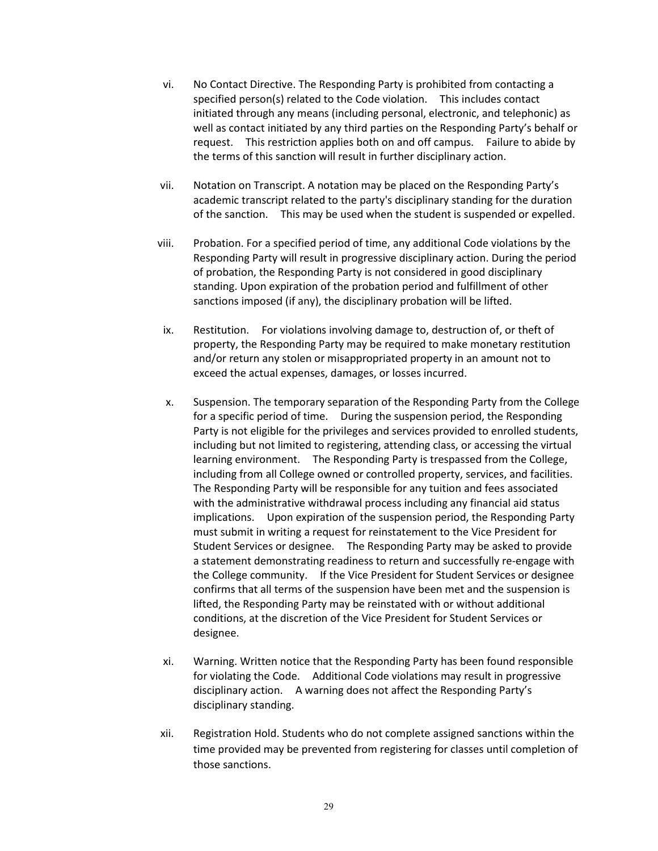- vi. No Contact Directive. The Responding Party is prohibited from contacting a specified person(s) related to the Code violation. This includes contact initiated through any means (including personal, electronic, and telephonic) as well as contact initiated by any third parties on the Responding Party's behalf or request. This restriction applies both on and off campus. Failure to abide by the terms of this sanction will result in further disciplinary action.
- vii. Notation on Transcript. A notation may be placed on the Responding Party's academic transcript related to the party's disciplinary standing for the duration of the sanction. This may be used when the student is suspended or expelled.
- viii. Probation. For a specified period of time, any additional Code violations by the Responding Party will result in progressive disciplinary action. During the period of probation, the Responding Party is not considered in good disciplinary standing. Upon expiration of the probation period and fulfillment of other sanctions imposed (if any), the disciplinary probation will be lifted.
- ix. Restitution. For violations involving damage to, destruction of, or theft of property, the Responding Party may be required to make monetary restitution and/or return any stolen or misappropriated property in an amount not to exceed the actual expenses, damages, or losses incurred.
- x. Suspension. The temporary separation of the Responding Party from the College for a specific period of time. During the suspension period, the Responding Party is not eligible for the privileges and services provided to enrolled students, including but not limited to registering, attending class, or accessing the virtual learning environment. The Responding Party is trespassed from the College, including from all College owned or controlled property, services, and facilities. The Responding Party will be responsible for any tuition and fees associated with the administrative withdrawal process including any financial aid status implications. Upon expiration of the suspension period, the Responding Party must submit in writing a request for reinstatement to the Vice President for Student Services or designee. The Responding Party may be asked to provide a statement demonstrating readiness to return and successfully re-engage with the College community. If the Vice President for Student Services or designee confirms that all terms of the suspension have been met and the suspension is lifted, the Responding Party may be reinstated with or without additional conditions, at the discretion of the Vice President for Student Services or designee.
- xi. Warning. Written notice that the Responding Party has been found responsible for violating the Code. Additional Code violations may result in progressive disciplinary action. A warning does not affect the Responding Party's disciplinary standing.
- xii. Registration Hold. Students who do not complete assigned sanctions within the time provided may be prevented from registering for classes until completion of those sanctions.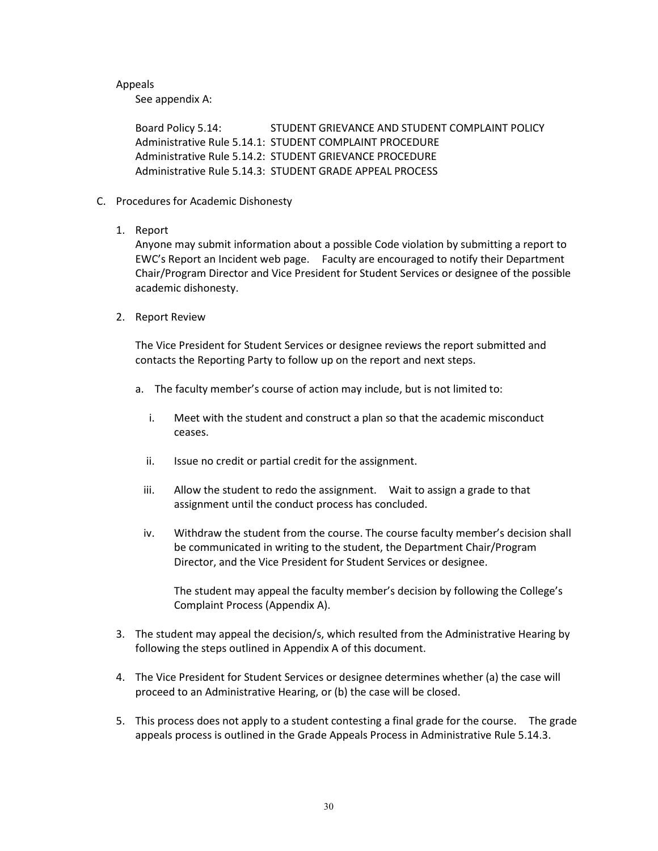# Appeals

See appendix A:

Board Policy 5.14: STUDENT GRIEVANCE AND STUDENT COMPLAINT POLICY Administrative Rule 5.14.1: STUDENT COMPLAINT PROCEDURE Administrative Rule 5.14.2: STUDENT GRIEVANCE PROCEDURE Administrative Rule 5.14.3: STUDENT GRADE APPEAL PROCESS

- C. Procedures for Academic Dishonesty
	- 1. Report

Anyone may submit information about a possible Code violation by submitting a report to EWC's Report an Incident web page. Faculty are encouraged to notify their Department Chair/Program Director and Vice President for Student Services or designee of the possible academic dishonesty.

2. Report Review

The Vice President for Student Services or designee reviews the report submitted and contacts the Reporting Party to follow up on the report and next steps.

- a. The faculty member's course of action may include, but is not limited to:
	- i. Meet with the student and construct a plan so that the academic misconduct ceases.
	- ii. Issue no credit or partial credit for the assignment.
	- iii. Allow the student to redo the assignment. Wait to assign a grade to that assignment until the conduct process has concluded.
	- iv. Withdraw the student from the course. The course faculty member's decision shall be communicated in writing to the student, the Department Chair/Program Director, and the Vice President for Student Services or designee.

The student may appeal the faculty member's decision by following the College's Complaint Process (Appendix A).

- 3. The student may appeal the decision/s, which resulted from the Administrative Hearing by following the steps outlined in Appendix A of this document.
- 4. The Vice President for Student Services or designee determines whether (a) the case will proceed to an Administrative Hearing, or (b) the case will be closed.
- 5. This process does not apply to a student contesting a final grade for the course. The grade appeals process is outlined in the Grade Appeals Process in Administrative Rule 5.14.3.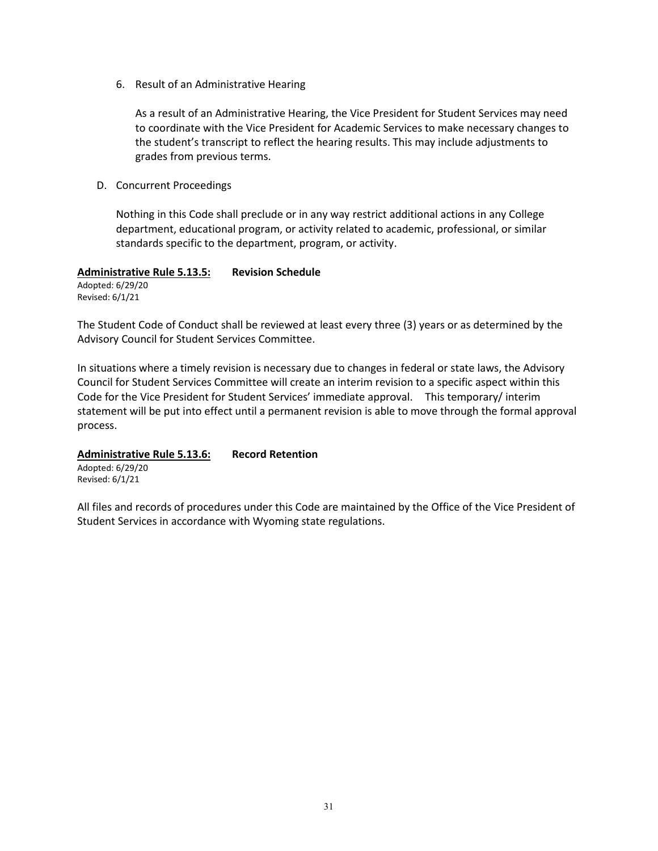6. Result of an Administrative Hearing

As a result of an Administrative Hearing, the Vice President for Student Services may need to coordinate with the Vice President for Academic Services to make necessary changes to the student's transcript to reflect the hearing results. This may include adjustments to grades from previous terms.

D. Concurrent Proceedings

Nothing in this Code shall preclude or in any way restrict additional actions in any College department, educational program, or activity related to academic, professional, or similar standards specific to the department, program, or activity.

#### **Administrative Rule 5.13.5: Revision Schedule**

Adopted: 6/29/20 Revised: 6/1/21

The Student Code of Conduct shall be reviewed at least every three (3) years or as determined by the Advisory Council for Student Services Committee.

In situations where a timely revision is necessary due to changes in federal or state laws, the Advisory Council for Student Services Committee will create an interim revision to a specific aspect within this Code for the Vice President for Student Services' immediate approval. This temporary/ interim statement will be put into effect until a permanent revision is able to move through the formal approval process.

# **Administrative Rule 5.13.6: Record Retention**

Adopted: 6/29/20 Revised: 6/1/21

All files and records of procedures under this Code are maintained by the Office of the Vice President of Student Services in accordance with Wyoming state regulations.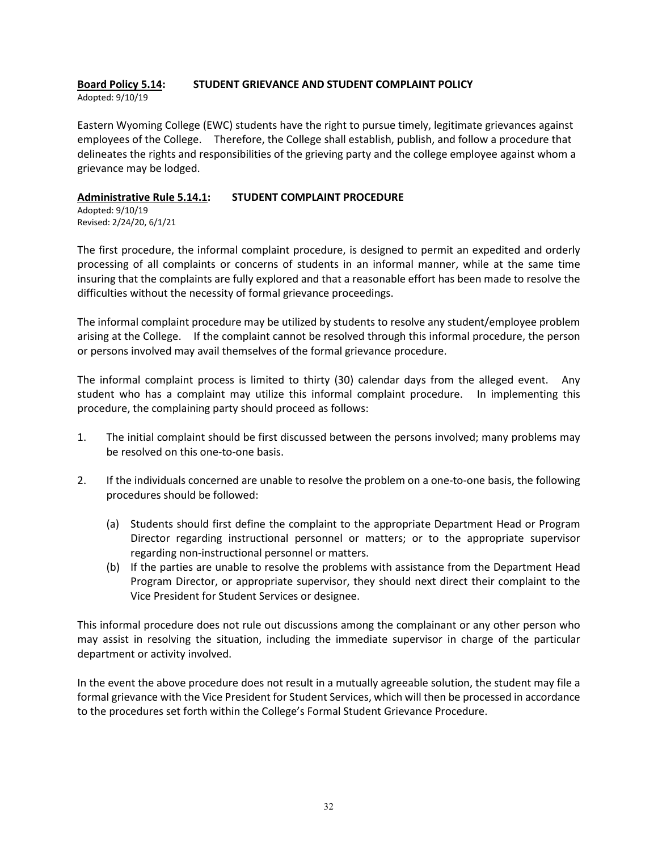#### **Board Policy 5.14: STUDENT GRIEVANCE AND STUDENT COMPLAINT POLICY** Adopted: 9/10/19

Eastern Wyoming College (EWC) students have the right to pursue timely, legitimate grievances against employees of the College. Therefore, the College shall establish, publish, and follow a procedure that delineates the rights and responsibilities of the grieving party and the college employee against whom a grievance may be lodged.

# **Administrative Rule 5.14.1: STUDENT COMPLAINT PROCEDURE**

Adopted: 9/10/19 Revised: 2/24/20, 6/1/21

The first procedure, the informal complaint procedure, is designed to permit an expedited and orderly processing of all complaints or concerns of students in an informal manner, while at the same time insuring that the complaints are fully explored and that a reasonable effort has been made to resolve the difficulties without the necessity of formal grievance proceedings.

The informal complaint procedure may be utilized by students to resolve any student/employee problem arising at the College. If the complaint cannot be resolved through this informal procedure, the person or persons involved may avail themselves of the formal grievance procedure.

The informal complaint process is limited to thirty (30) calendar days from the alleged event. Any student who has a complaint may utilize this informal complaint procedure. In implementing this procedure, the complaining party should proceed as follows:

- 1. The initial complaint should be first discussed between the persons involved; many problems may be resolved on this one-to-one basis.
- 2. If the individuals concerned are unable to resolve the problem on a one-to-one basis, the following procedures should be followed:
	- (a) Students should first define the complaint to the appropriate Department Head or Program Director regarding instructional personnel or matters; or to the appropriate supervisor regarding non-instructional personnel or matters.
	- (b) If the parties are unable to resolve the problems with assistance from the Department Head Program Director, or appropriate supervisor, they should next direct their complaint to the Vice President for Student Services or designee.

This informal procedure does not rule out discussions among the complainant or any other person who may assist in resolving the situation, including the immediate supervisor in charge of the particular department or activity involved.

In the event the above procedure does not result in a mutually agreeable solution, the student may file a formal grievance with the Vice President for Student Services, which will then be processed in accordance to the procedures set forth within the College's Formal Student Grievance Procedure.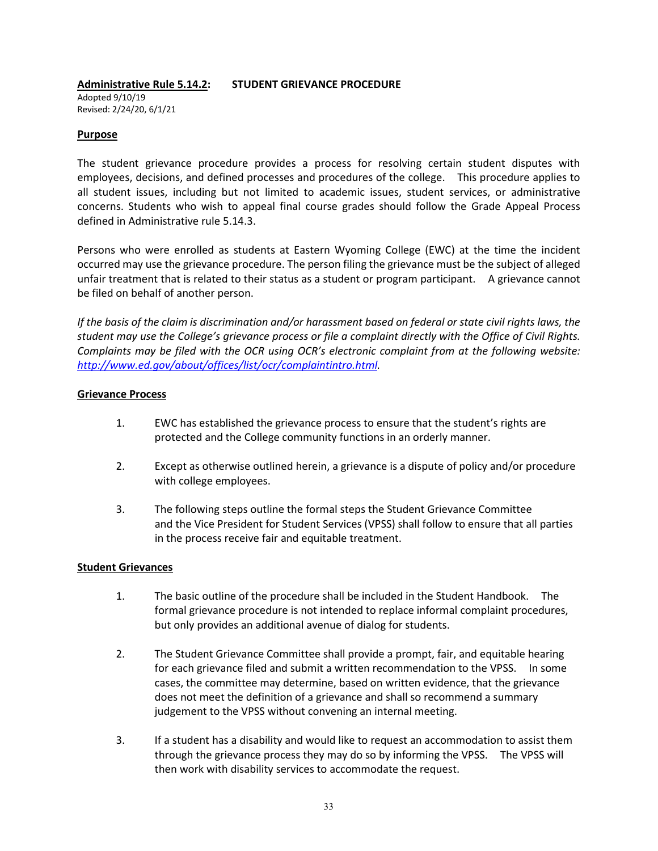# **Administrative Rule 5.14.2: STUDENT GRIEVANCE PROCEDURE**

Adopted 9/10/19 Revised: 2/24/20, 6/1/21

# **Purpose**

The student grievance procedure provides a process for resolving certain student disputes with employees, decisions, and defined processes and procedures of the college. This procedure applies to all student issues, including but not limited to academic issues, student services, or administrative concerns. Students who wish to appeal final course grades should follow the Grade Appeal Process defined in Administrative rule 5.14.3.

Persons who were enrolled as students at Eastern Wyoming College (EWC) at the time the incident occurred may use the grievance procedure. The person filing the grievance must be the subject of alleged unfair treatment that is related to their status as a student or program participant. A grievance cannot be filed on behalf of another person.

*If the basis of the claim is discrimination and/or harassment based on federal or state civil rights laws, the student may use the College's grievance process or file a complaint directly with the Office of Civil Rights. Complaints may be filed with the OCR using OCR's electronic complaint from at the following website: [http://www.ed.gov/about/offices/list/ocr/complaintintro.html.](http://www.ed.gov/about/offices/list/ocr/complaintintro.html)*

# **Grievance Process**

- 1. EWC has established the grievance process to ensure that the student's rights are protected and the College community functions in an orderly manner.
- 2. Except as otherwise outlined herein, a grievance is a dispute of policy and/or procedure with college employees.
- 3. The following steps outline the formal steps the Student Grievance Committee and the Vice President for Student Services (VPSS) shall follow to ensure that all parties in the process receive fair and equitable treatment.

# **Student Grievances**

- 1. The basic outline of the procedure shall be included in the Student Handbook. The formal grievance procedure is not intended to replace informal complaint procedures, but only provides an additional avenue of dialog for students.
- 2. The Student Grievance Committee shall provide a prompt, fair, and equitable hearing for each grievance filed and submit a written recommendation to the VPSS. In some cases, the committee may determine, based on written evidence, that the grievance does not meet the definition of a grievance and shall so recommend a summary judgement to the VPSS without convening an internal meeting.
- 3. If a student has a disability and would like to request an accommodation to assist them through the grievance process they may do so by informing the VPSS. The VPSS will then work with disability services to accommodate the request.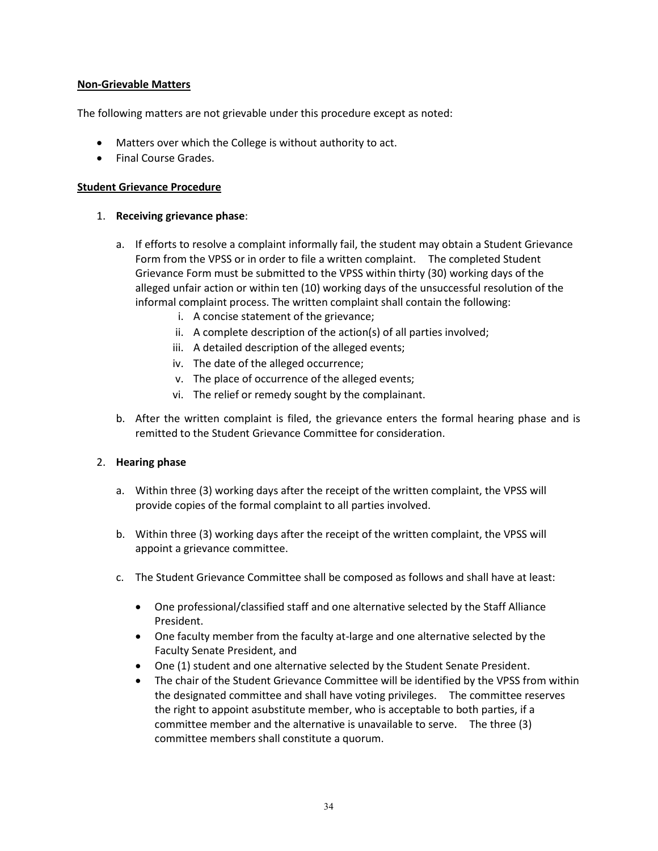# **Non-Grievable Matters**

The following matters are not grievable under this procedure except as noted:

- Matters over which the College is without authority to act.
- Final Course Grades.

# **Student Grievance Procedure**

### 1. **Receiving grievance phase**:

- a. If efforts to resolve a complaint informally fail, the student may obtain a Student Grievance Form from the VPSS or in order to file a written complaint. The completed Student Grievance Form must be submitted to the VPSS within thirty (30) working days of the alleged unfair action or within ten (10) working days of the unsuccessful resolution of the informal complaint process. The written complaint shall contain the following:
	- i. A concise statement of the grievance;
	- ii. A complete description of the action(s) of all parties involved;
	- iii. A detailed description of the alleged events;
	- iv. The date of the alleged occurrence;
	- v. The place of occurrence of the alleged events;
	- vi. The relief or remedy sought by the complainant.
- b. After the written complaint is filed, the grievance enters the formal hearing phase and is remitted to the Student Grievance Committee for consideration.

# 2. **Hearing phase**

- a. Within three (3) working days after the receipt of the written complaint, the VPSS will provide copies of the formal complaint to all parties involved.
- b. Within three (3) working days after the receipt of the written complaint, the VPSS will appoint a grievance committee.
- c. The Student Grievance Committee shall be composed as follows and shall have at least:
	- One professional/classified staff and one alternative selected by the Staff Alliance President.
	- One faculty member from the faculty at-large and one alternative selected by the Faculty Senate President, and
	- One (1) student and one alternative selected by the Student Senate President.
	- The chair of the Student Grievance Committee will be identified by the VPSS from within the designated committee and shall have voting privileges. The committee reserves the right to appoint asubstitute member, who is acceptable to both parties, if a committee member and the alternative is unavailable to serve. The three (3) committee members shall constitute a quorum.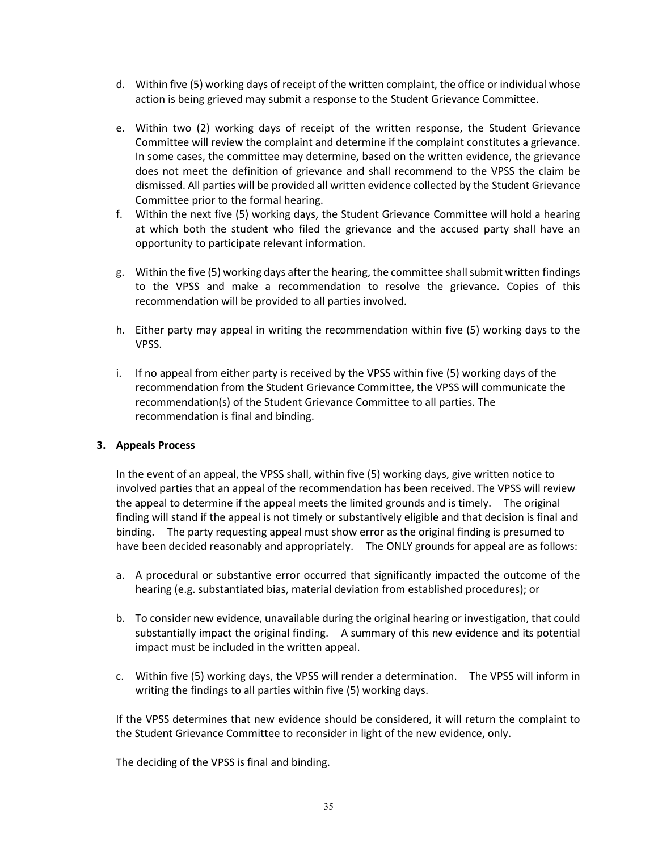- d. Within five (5) working days of receipt of the written complaint, the office or individual whose action is being grieved may submit a response to the Student Grievance Committee.
- e. Within two (2) working days of receipt of the written response, the Student Grievance Committee will review the complaint and determine if the complaint constitutes a grievance. In some cases, the committee may determine, based on the written evidence, the grievance does not meet the definition of grievance and shall recommend to the VPSS the claim be dismissed. All parties will be provided all written evidence collected by the Student Grievance Committee prior to the formal hearing.
- f. Within the next five (5) working days, the Student Grievance Committee will hold a hearing at which both the student who filed the grievance and the accused party shall have an opportunity to participate relevant information.
- g. Within the five (5) working days after the hearing, the committee shall submit written findings to the VPSS and make a recommendation to resolve the grievance. Copies of this recommendation will be provided to all parties involved.
- h. Either party may appeal in writing the recommendation within five (5) working days to the VPSS.
- i. If no appeal from either party is received by the VPSS within five (5) working days of the recommendation from the Student Grievance Committee, the VPSS will communicate the recommendation(s) of the Student Grievance Committee to all parties. The recommendation is final and binding.

# **3. Appeals Process**

In the event of an appeal, the VPSS shall, within five (5) working days, give written notice to involved parties that an appeal of the recommendation has been received. The VPSS will review the appeal to determine if the appeal meets the limited grounds and is timely. The original finding will stand if the appeal is not timely or substantively eligible and that decision is final and binding. The party requesting appeal must show error as the original finding is presumed to have been decided reasonably and appropriately. The ONLY grounds for appeal are as follows:

- a. A procedural or substantive error occurred that significantly impacted the outcome of the hearing (e.g. substantiated bias, material deviation from established procedures); or
- b. To consider new evidence, unavailable during the original hearing or investigation, that could substantially impact the original finding. A summary of this new evidence and its potential impact must be included in the written appeal.
- c. Within five (5) working days, the VPSS will render a determination. The VPSS will inform in writing the findings to all parties within five (5) working days.

If the VPSS determines that new evidence should be considered, it will return the complaint to the Student Grievance Committee to reconsider in light of the new evidence, only.

The deciding of the VPSS is final and binding.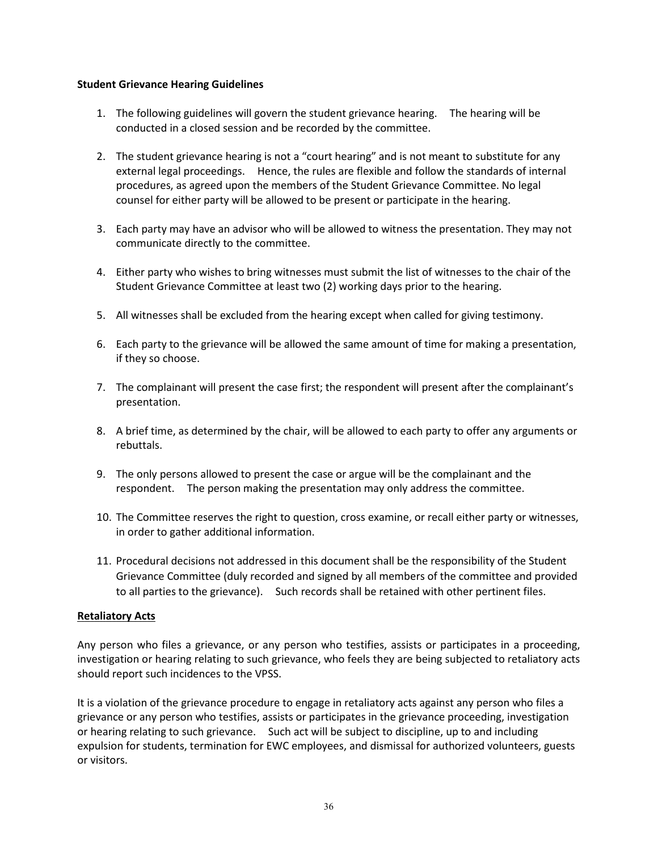## **Student Grievance Hearing Guidelines**

- 1. The following guidelines will govern the student grievance hearing. The hearing will be conducted in a closed session and be recorded by the committee.
- 2. The student grievance hearing is not a "court hearing" and is not meant to substitute for any external legal proceedings. Hence, the rules are flexible and follow the standards of internal procedures, as agreed upon the members of the Student Grievance Committee. No legal counsel for either party will be allowed to be present or participate in the hearing.
- 3. Each party may have an advisor who will be allowed to witness the presentation. They may not communicate directly to the committee.
- 4. Either party who wishes to bring witnesses must submit the list of witnesses to the chair of the Student Grievance Committee at least two (2) working days prior to the hearing.
- 5. All witnesses shall be excluded from the hearing except when called for giving testimony.
- 6. Each party to the grievance will be allowed the same amount of time for making a presentation, if they so choose.
- 7. The complainant will present the case first; the respondent will present after the complainant's presentation.
- 8. A brief time, as determined by the chair, will be allowed to each party to offer any arguments or rebuttals.
- 9. The only persons allowed to present the case or argue will be the complainant and the respondent. The person making the presentation may only address the committee.
- 10. The Committee reserves the right to question, cross examine, or recall either party or witnesses, in order to gather additional information.
- 11. Procedural decisions not addressed in this document shall be the responsibility of the Student Grievance Committee (duly recorded and signed by all members of the committee and provided to all parties to the grievance). Such records shall be retained with other pertinent files.

# **Retaliatory Acts**

Any person who files a grievance, or any person who testifies, assists or participates in a proceeding, investigation or hearing relating to such grievance, who feels they are being subjected to retaliatory acts should report such incidences to the VPSS.

It is a violation of the grievance procedure to engage in retaliatory acts against any person who files a grievance or any person who testifies, assists or participates in the grievance proceeding, investigation or hearing relating to such grievance. Such act will be subject to discipline, up to and including expulsion for students, termination for EWC employees, and dismissal for authorized volunteers, guests or visitors.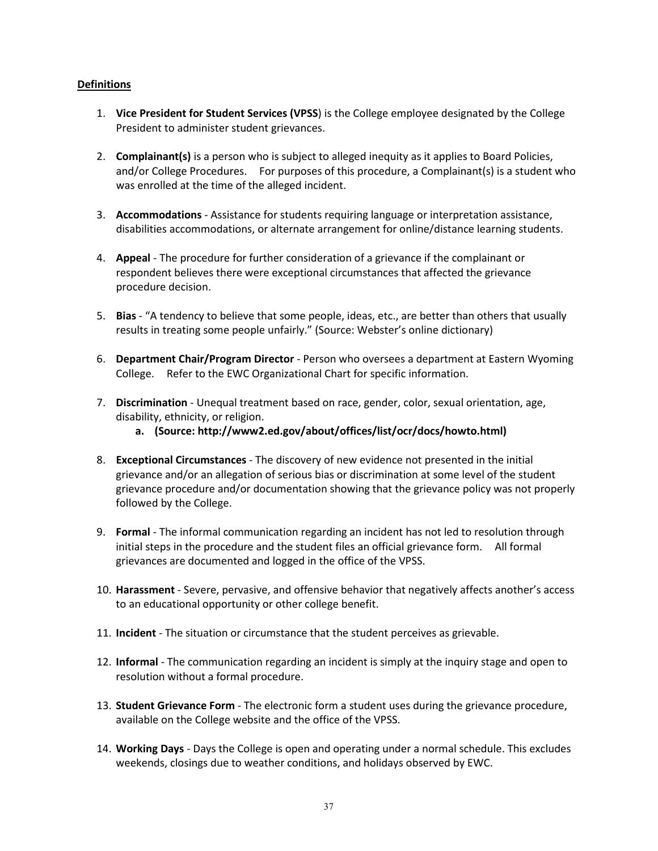# **Definitions**

- 1. **Vice President for Student Services (VPSS**) is the College employee designated by the College President to administer student grievances.
- 2. **Complainant(s)** is a person who is subject to alleged inequity as it applies to Board Policies, and/or College Procedures. For purposes of this procedure, a Complainant(s) is a student who was enrolled at the time of the alleged incident.
- 3. **Accommodations** Assistance for students requiring language or interpretation assistance, disabilities accommodations, or alternate arrangement for online/distance learning students.
- 4. **Appeal** The procedure for further consideration of a grievance if the complainant or respondent believes there were exceptional circumstances that affected the grievance procedure decision.
- 5. **Bias** "A tendency to believe that some people, ideas, etc., are better than others that usually results in treating some people unfairly." (Source: Webster's online dictionary)
- 6. **Department Chair/Program Director** Person who oversees a department at Eastern Wyoming College. Refer to the EWC Organizational Chart for specific information.
- 7. **Discrimination** Unequal treatment based on race, gender, color, sexual orientation, age, disability, ethnicity, or religion.
	- **a. (Source: http://www2.ed.gov/about/offices/list/ocr/docs/howto.html)**
- 8. **Exceptional Circumstances** The discovery of new evidence not presented in the initial grievance and/or an allegation of serious bias or discrimination at some level of the student grievance procedure and/or documentation showing that the grievance policy was not properly followed by the College.
- 9. **Formal** The informal communication regarding an incident has not led to resolution through initial steps in the procedure and the student files an official grievance form. All formal grievances are documented and logged in the office of the VPSS.
- 10. **Harassment** Severe, pervasive, and offensive behavior that negatively affects another's access to an educational opportunity or other college benefit.
- 11. **Incident** The situation or circumstance that the student perceives as grievable.
- 12. **Informal** The communication regarding an incident is simply at the inquiry stage and open to resolution without a formal procedure.
- 13. **Student Grievance Form** The electronic form a student uses during the grievance procedure, available on the College website and the office of the VPSS.
- 14. **Working Days** Days the College is open and operating under a normal schedule. This excludes weekends, closings due to weather conditions, and holidays observed by EWC.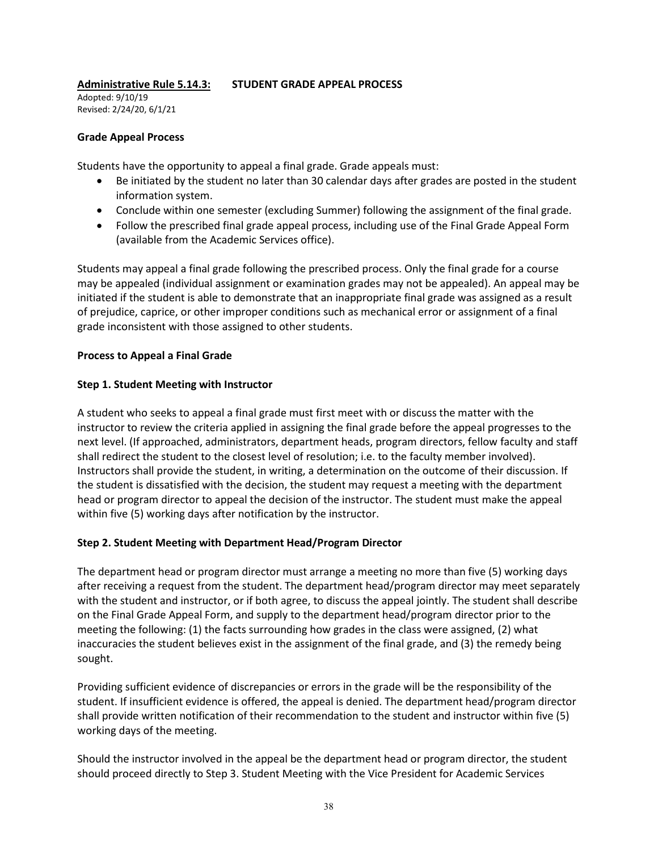# **Administrative Rule 5.14.3: STUDENT GRADE APPEAL PROCESS**

Adopted: 9/10/19 Revised: 2/24/20, 6/1/21

# **Grade Appeal Process**

Students have the opportunity to appeal a final grade. Grade appeals must:

- Be initiated by the student no later than 30 calendar days after grades are posted in the student information system.
- Conclude within one semester (excluding Summer) following the assignment of the final grade.
- Follow the prescribed final grade appeal process, including use of the Final Grade Appeal Form (available from the Academic Services office).

Students may appeal a final grade following the prescribed process. Only the final grade for a course may be appealed (individual assignment or examination grades may not be appealed). An appeal may be initiated if the student is able to demonstrate that an inappropriate final grade was assigned as a result of prejudice, caprice, or other improper conditions such as mechanical error or assignment of a final grade inconsistent with those assigned to other students.

# **Process to Appeal a Final Grade**

# **Step 1. Student Meeting with Instructor**

A student who seeks to appeal a final grade must first meet with or discuss the matter with the instructor to review the criteria applied in assigning the final grade before the appeal progresses to the next level. (If approached, administrators, department heads, program directors, fellow faculty and staff shall redirect the student to the closest level of resolution; i.e. to the faculty member involved). Instructors shall provide the student, in writing, a determination on the outcome of their discussion. If the student is dissatisfied with the decision, the student may request a meeting with the department head or program director to appeal the decision of the instructor. The student must make the appeal within five (5) working days after notification by the instructor.

# **Step 2. Student Meeting with Department Head/Program Director**

The department head or program director must arrange a meeting no more than five (5) working days after receiving a request from the student. The department head/program director may meet separately with the student and instructor, or if both agree, to discuss the appeal jointly. The student shall describe on the Final Grade Appeal Form, and supply to the department head/program director prior to the meeting the following: (1) the facts surrounding how grades in the class were assigned, (2) what inaccuracies the student believes exist in the assignment of the final grade, and (3) the remedy being sought.

Providing sufficient evidence of discrepancies or errors in the grade will be the responsibility of the student. If insufficient evidence is offered, the appeal is denied. The department head/program director shall provide written notification of their recommendation to the student and instructor within five (5) working days of the meeting.

Should the instructor involved in the appeal be the department head or program director, the student should proceed directly to Step 3. Student Meeting with the Vice President for Academic Services